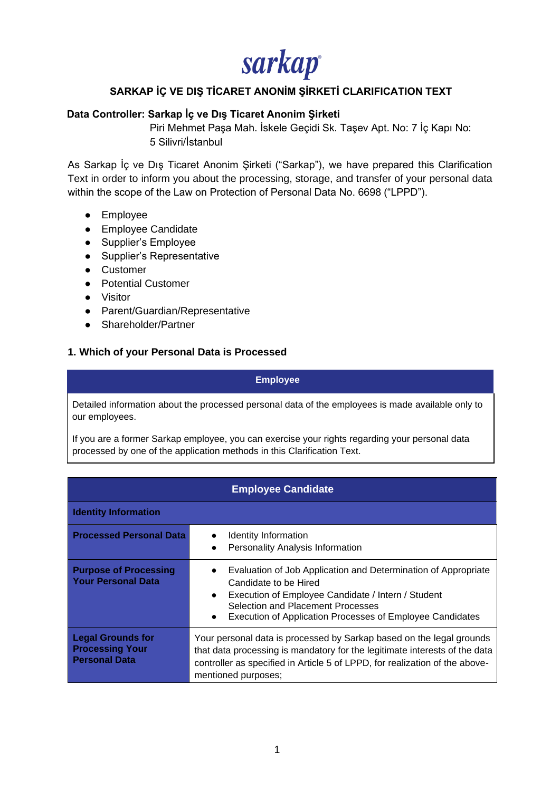sarkap

### **SARKAP İÇ VE DIŞ TİCARET ANONİM ŞİRKETİ CLARIFICATION TEXT**

### **Data Controller: Sarkap İç ve Dış Ticaret Anonim Şirketi**

Piri Mehmet Paşa Mah. İskele Geçidi Sk. Taşev Apt. No: 7 İç Kapı No: 5 Silivri/İstanbul

As Sarkap İç ve Dış Ticaret Anonim Şirketi ("Sarkap"), we have prepared this Clarification Text in order to inform you about the processing, storage, and transfer of your personal data within the scope of the Law on Protection of Personal Data No. 6698 ("LPPD").

- Employee
- Employee Candidate
- Supplier's Employee
- Supplier's Representative
- Customer
- Potential Customer
- Visitor
- Parent/Guardian/Representative
- Shareholder/Partner

#### **1. Which of your Personal Data is Processed**

#### **Employee**

Detailed information about the processed personal data of the employees is made available only to our employees.

If you are a former Sarkap employee, you can exercise your rights regarding your personal data processed by one of the application methods in this Clarification Text.

| <b>Employee Candidate</b>                                                  |                                                                                                                                                                                                                                                                           |
|----------------------------------------------------------------------------|---------------------------------------------------------------------------------------------------------------------------------------------------------------------------------------------------------------------------------------------------------------------------|
| <b>Identity Information</b>                                                |                                                                                                                                                                                                                                                                           |
| <b>Processed Personal Data</b>                                             | Identity Information<br><b>Personality Analysis Information</b><br>$\bullet$                                                                                                                                                                                              |
| <b>Purpose of Processing</b><br><b>Your Personal Data</b>                  | Evaluation of Job Application and Determination of Appropriate<br>$\bullet$<br>Candidate to be Hired<br>Execution of Employee Candidate / Intern / Student<br>$\bullet$<br>Selection and Placement Processes<br>Execution of Application Processes of Employee Candidates |
| <b>Legal Grounds for</b><br><b>Processing Your</b><br><b>Personal Data</b> | Your personal data is processed by Sarkap based on the legal grounds<br>that data processing is mandatory for the legitimate interests of the data<br>controller as specified in Article 5 of LPPD, for realization of the above-<br>mentioned purposes;                  |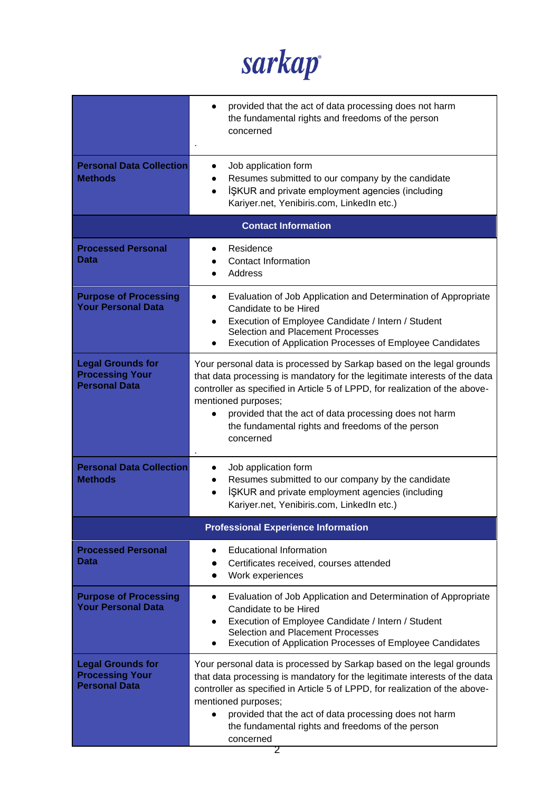

|                                                                            | provided that the act of data processing does not harm<br>the fundamental rights and freedoms of the person<br>concerned                                                                                                                                                                                                                                                             |
|----------------------------------------------------------------------------|--------------------------------------------------------------------------------------------------------------------------------------------------------------------------------------------------------------------------------------------------------------------------------------------------------------------------------------------------------------------------------------|
| <b>Personal Data Collection</b><br><b>Methods</b>                          | Job application form<br>$\bullet$<br>Resumes submitted to our company by the candidate<br>ISKUR and private employment agencies (including<br>Kariyer.net, Yenibiris.com, LinkedIn etc.)                                                                                                                                                                                             |
|                                                                            | <b>Contact Information</b>                                                                                                                                                                                                                                                                                                                                                           |
| <b>Processed Personal</b><br>Data                                          | Residence<br><b>Contact Information</b><br>Address                                                                                                                                                                                                                                                                                                                                   |
| <b>Purpose of Processing</b><br><b>Your Personal Data</b>                  | Evaluation of Job Application and Determination of Appropriate<br>Candidate to be Hired<br>Execution of Employee Candidate / Intern / Student<br>$\bullet$<br>Selection and Placement Processes<br>Execution of Application Processes of Employee Candidates                                                                                                                         |
| <b>Legal Grounds for</b><br><b>Processing Your</b><br><b>Personal Data</b> | Your personal data is processed by Sarkap based on the legal grounds<br>that data processing is mandatory for the legitimate interests of the data<br>controller as specified in Article 5 of LPPD, for realization of the above-<br>mentioned purposes;<br>provided that the act of data processing does not harm<br>the fundamental rights and freedoms of the person<br>concerned |
| <b>Personal Data Collection</b><br><b>Methods</b>                          | Job application form<br>$\bullet$<br>Resumes submitted to our company by the candidate<br>$\bullet$<br>ISKUR and private employment agencies (including<br>$\bullet$<br>Kariyer.net, Yenibiris.com, LinkedIn etc.)                                                                                                                                                                   |
|                                                                            | <b>Professional Experience Information</b>                                                                                                                                                                                                                                                                                                                                           |
| <b>Processed Personal</b><br>Data                                          | <b>Educational Information</b><br>Certificates received, courses attended<br>Work experiences<br>$\bullet$                                                                                                                                                                                                                                                                           |
| <b>Purpose of Processing</b><br><b>Your Personal Data</b>                  | Evaluation of Job Application and Determination of Appropriate<br>$\bullet$<br>Candidate to be Hired<br>Execution of Employee Candidate / Intern / Student<br>٠<br>Selection and Placement Processes<br><b>Execution of Application Processes of Employee Candidates</b>                                                                                                             |
| <b>Legal Grounds for</b><br><b>Processing Your</b><br><b>Personal Data</b> | Your personal data is processed by Sarkap based on the legal grounds<br>that data processing is mandatory for the legitimate interests of the data<br>controller as specified in Article 5 of LPPD, for realization of the above-<br>mentioned purposes;<br>provided that the act of data processing does not harm<br>the fundamental rights and freedoms of the person<br>concerned |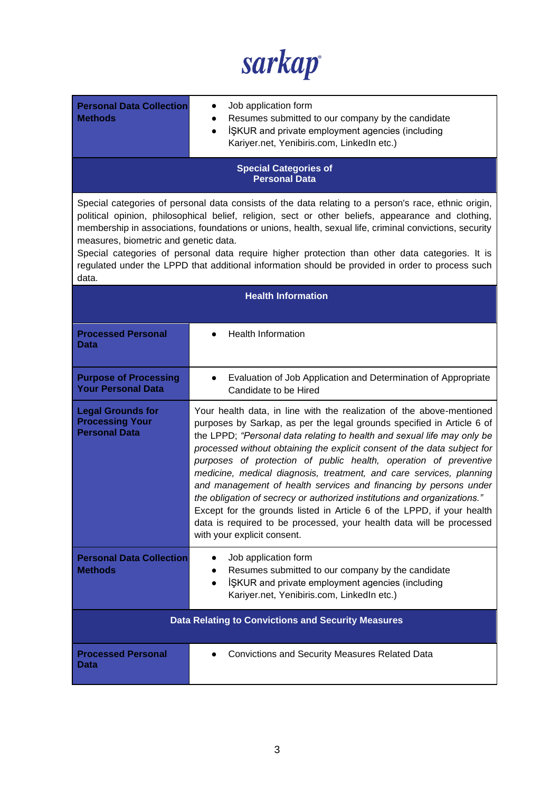sarkap

| <b>Personal Data Collection</b><br><b>Methods</b>                                                                                                                                                                                                                                                                                                                                                                                                                                                                                                                             | Job application form<br>Resumes submitted to our company by the candidate<br>ISKUR and private employment agencies (including<br>$\bullet$<br>Kariyer.net, Yenibiris.com, LinkedIn etc.)                                                                                                                                                                                                                                                                                                                                                                                                                                                                                                                                                                                           |  |
|-------------------------------------------------------------------------------------------------------------------------------------------------------------------------------------------------------------------------------------------------------------------------------------------------------------------------------------------------------------------------------------------------------------------------------------------------------------------------------------------------------------------------------------------------------------------------------|------------------------------------------------------------------------------------------------------------------------------------------------------------------------------------------------------------------------------------------------------------------------------------------------------------------------------------------------------------------------------------------------------------------------------------------------------------------------------------------------------------------------------------------------------------------------------------------------------------------------------------------------------------------------------------------------------------------------------------------------------------------------------------|--|
| <b>Special Categories of</b><br><b>Personal Data</b>                                                                                                                                                                                                                                                                                                                                                                                                                                                                                                                          |                                                                                                                                                                                                                                                                                                                                                                                                                                                                                                                                                                                                                                                                                                                                                                                    |  |
| Special categories of personal data consists of the data relating to a person's race, ethnic origin,<br>political opinion, philosophical belief, religion, sect or other beliefs, appearance and clothing,<br>membership in associations, foundations or unions, health, sexual life, criminal convictions, security<br>measures, biometric and genetic data.<br>Special categories of personal data require higher protection than other data categories. It is<br>regulated under the LPPD that additional information should be provided in order to process such<br>data. |                                                                                                                                                                                                                                                                                                                                                                                                                                                                                                                                                                                                                                                                                                                                                                                    |  |
| <b>Health Information</b>                                                                                                                                                                                                                                                                                                                                                                                                                                                                                                                                                     |                                                                                                                                                                                                                                                                                                                                                                                                                                                                                                                                                                                                                                                                                                                                                                                    |  |
| <b>Processed Personal</b><br>Data                                                                                                                                                                                                                                                                                                                                                                                                                                                                                                                                             | <b>Health Information</b>                                                                                                                                                                                                                                                                                                                                                                                                                                                                                                                                                                                                                                                                                                                                                          |  |
| <b>Purpose of Processing</b><br><b>Your Personal Data</b>                                                                                                                                                                                                                                                                                                                                                                                                                                                                                                                     | Evaluation of Job Application and Determination of Appropriate<br>$\bullet$<br>Candidate to be Hired                                                                                                                                                                                                                                                                                                                                                                                                                                                                                                                                                                                                                                                                               |  |
| <b>Legal Grounds for</b><br><b>Processing Your</b><br><b>Personal Data</b>                                                                                                                                                                                                                                                                                                                                                                                                                                                                                                    | Your health data, in line with the realization of the above-mentioned<br>purposes by Sarkap, as per the legal grounds specified in Article 6 of<br>the LPPD; "Personal data relating to health and sexual life may only be<br>processed without obtaining the explicit consent of the data subject for<br>purposes of protection of public health, operation of preventive<br>medicine, medical diagnosis, treatment, and care services, planning<br>and management of health services and financing by persons under<br>the obligation of secrecy or authorized institutions and organizations."<br>Except for the grounds listed in Article 6 of the LPPD, if your health<br>data is required to be processed, your health data will be processed<br>with your explicit consent. |  |
| <b>Personal Data Collection</b><br><b>Methods</b>                                                                                                                                                                                                                                                                                                                                                                                                                                                                                                                             | Job application form<br>Resumes submitted to our company by the candidate<br>ISKUR and private employment agencies (including<br>$\bullet$<br>Kariyer.net, Yenibiris.com, LinkedIn etc.)                                                                                                                                                                                                                                                                                                                                                                                                                                                                                                                                                                                           |  |
| <b>Data Relating to Convictions and Security Measures</b>                                                                                                                                                                                                                                                                                                                                                                                                                                                                                                                     |                                                                                                                                                                                                                                                                                                                                                                                                                                                                                                                                                                                                                                                                                                                                                                                    |  |
| <b>Processed Personal</b><br>Data                                                                                                                                                                                                                                                                                                                                                                                                                                                                                                                                             | <b>Convictions and Security Measures Related Data</b>                                                                                                                                                                                                                                                                                                                                                                                                                                                                                                                                                                                                                                                                                                                              |  |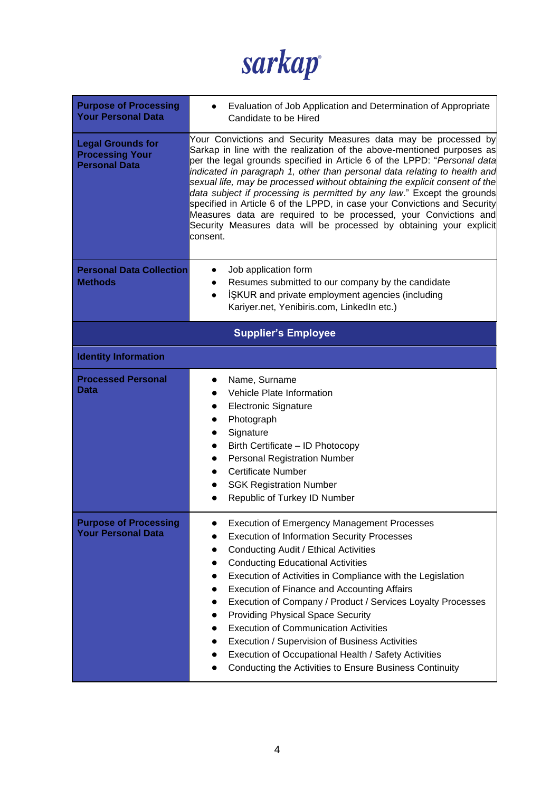

| <b>Purpose of Processing</b><br><b>Your Personal Data</b>                  | Evaluation of Job Application and Determination of Appropriate<br>Candidate to be Hired                                                                                                                                                                                                                                                                                                                                                                                                                                                                                                                                                                                                                                         |
|----------------------------------------------------------------------------|---------------------------------------------------------------------------------------------------------------------------------------------------------------------------------------------------------------------------------------------------------------------------------------------------------------------------------------------------------------------------------------------------------------------------------------------------------------------------------------------------------------------------------------------------------------------------------------------------------------------------------------------------------------------------------------------------------------------------------|
| <b>Legal Grounds for</b><br><b>Processing Your</b><br><b>Personal Data</b> | Your Convictions and Security Measures data may be processed by<br>Sarkap in line with the realization of the above-mentioned purposes as<br>per the legal grounds specified in Article 6 of the LPPD: "Personal data<br>indicated in paragraph 1, other than personal data relating to health and<br>sexual life, may be processed without obtaining the explicit consent of the<br>data subject if processing is permitted by any law." Except the grounds<br>specified in Article 6 of the LPPD, in case your Convictions and Security<br>Measures data are required to be processed, your Convictions and<br>Security Measures data will be processed by obtaining your explicit<br>consent.                                |
| <b>Personal Data Collection</b><br><b>Methods</b>                          | Job application form<br>Resumes submitted to our company by the candidate<br>ISKUR and private employment agencies (including<br>$\bullet$<br>Kariyer.net, Yenibiris.com, LinkedIn etc.)                                                                                                                                                                                                                                                                                                                                                                                                                                                                                                                                        |
|                                                                            | <b>Supplier's Employee</b>                                                                                                                                                                                                                                                                                                                                                                                                                                                                                                                                                                                                                                                                                                      |
| <b>Identity Information</b>                                                |                                                                                                                                                                                                                                                                                                                                                                                                                                                                                                                                                                                                                                                                                                                                 |
| <b>Processed Personal</b><br><b>Data</b>                                   | Name, Surname<br><b>Vehicle Plate Information</b><br><b>Electronic Signature</b><br>Photograph<br>Signature<br>Birth Certificate - ID Photocopy<br><b>Personal Registration Number</b><br><b>Certificate Number</b><br><b>SGK Registration Number</b><br>Republic of Turkey ID Number                                                                                                                                                                                                                                                                                                                                                                                                                                           |
| <b>Purpose of Processing</b><br><b>Your Personal Data</b>                  | <b>Execution of Emergency Management Processes</b><br><b>Execution of Information Security Processes</b><br>$\bullet$<br>Conducting Audit / Ethical Activities<br>$\bullet$<br><b>Conducting Educational Activities</b><br>$\bullet$<br>Execution of Activities in Compliance with the Legislation<br>$\bullet$<br><b>Execution of Finance and Accounting Affairs</b><br>Execution of Company / Product / Services Loyalty Processes<br><b>Providing Physical Space Security</b><br>$\bullet$<br><b>Execution of Communication Activities</b><br>Execution / Supervision of Business Activities<br>Execution of Occupational Health / Safety Activities<br>$\bullet$<br>Conducting the Activities to Ensure Business Continuity |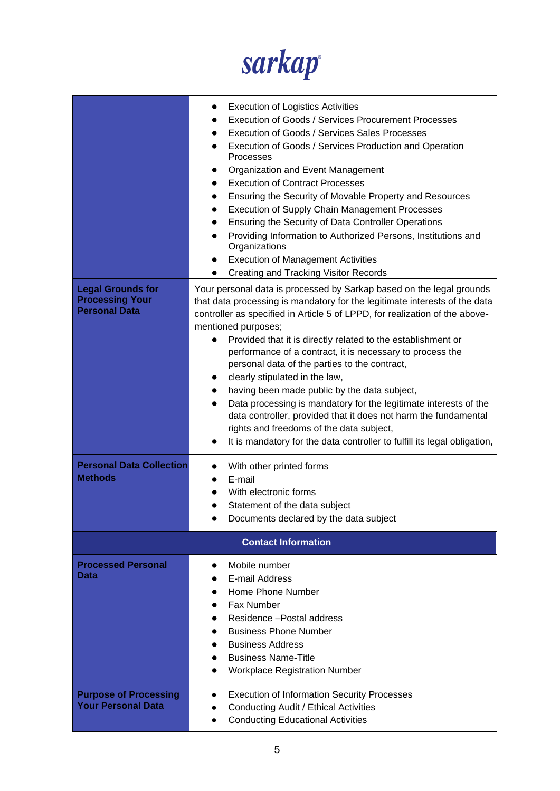

|                                                                            | <b>Execution of Logistics Activities</b><br><b>Execution of Goods / Services Procurement Processes</b><br>Execution of Goods / Services Sales Processes<br>Execution of Goods / Services Production and Operation<br>$\bullet$<br>Processes<br>Organization and Event Management<br><b>Execution of Contract Processes</b><br>Ensuring the Security of Movable Property and Resources<br><b>Execution of Supply Chain Management Processes</b><br>Ensuring the Security of Data Controller Operations<br>Providing Information to Authorized Persons, Institutions and<br>Organizations<br><b>Execution of Management Activities</b><br><b>Creating and Tracking Visitor Records</b>                                                                                                                 |
|----------------------------------------------------------------------------|------------------------------------------------------------------------------------------------------------------------------------------------------------------------------------------------------------------------------------------------------------------------------------------------------------------------------------------------------------------------------------------------------------------------------------------------------------------------------------------------------------------------------------------------------------------------------------------------------------------------------------------------------------------------------------------------------------------------------------------------------------------------------------------------------|
| <b>Legal Grounds for</b><br><b>Processing Your</b><br><b>Personal Data</b> | Your personal data is processed by Sarkap based on the legal grounds<br>that data processing is mandatory for the legitimate interests of the data<br>controller as specified in Article 5 of LPPD, for realization of the above-<br>mentioned purposes;<br>Provided that it is directly related to the establishment or<br>performance of a contract, it is necessary to process the<br>personal data of the parties to the contract,<br>clearly stipulated in the law,<br>having been made public by the data subject,<br>Data processing is mandatory for the legitimate interests of the<br>$\bullet$<br>data controller, provided that it does not harm the fundamental<br>rights and freedoms of the data subject,<br>It is mandatory for the data controller to fulfill its legal obligation, |
| <b>Personal Data Collection</b><br><b>Methods</b>                          | With other printed forms<br>E-mail<br>With electronic forms<br>Statement of the data subject<br>Documents declared by the data subject                                                                                                                                                                                                                                                                                                                                                                                                                                                                                                                                                                                                                                                               |
|                                                                            | <b>Contact Information</b>                                                                                                                                                                                                                                                                                                                                                                                                                                                                                                                                                                                                                                                                                                                                                                           |
| <b>Processed Personal</b><br>Data                                          | Mobile number<br>E-mail Address<br>Home Phone Number<br>Fax Number<br>Residence - Postal address<br><b>Business Phone Number</b><br><b>Business Address</b><br><b>Business Name-Title</b><br><b>Workplace Registration Number</b>                                                                                                                                                                                                                                                                                                                                                                                                                                                                                                                                                                    |
| <b>Purpose of Processing</b><br><b>Your Personal Data</b>                  | <b>Execution of Information Security Processes</b><br>Conducting Audit / Ethical Activities<br>$\bullet$<br><b>Conducting Educational Activities</b><br>$\bullet$                                                                                                                                                                                                                                                                                                                                                                                                                                                                                                                                                                                                                                    |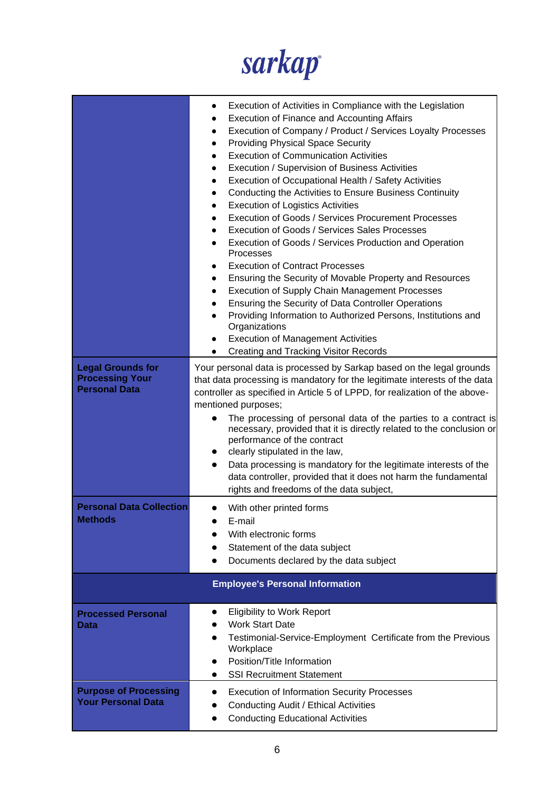

|                                                                            | Execution of Activities in Compliance with the Legislation<br>$\bullet$<br><b>Execution of Finance and Accounting Affairs</b><br>Execution of Company / Product / Services Loyalty Processes<br>$\bullet$<br><b>Providing Physical Space Security</b><br>$\bullet$<br><b>Execution of Communication Activities</b><br>$\bullet$<br>Execution / Supervision of Business Activities<br>$\bullet$<br>Execution of Occupational Health / Safety Activities<br>$\bullet$<br>Conducting the Activities to Ensure Business Continuity<br><b>Execution of Logistics Activities</b><br>$\bullet$<br><b>Execution of Goods / Services Procurement Processes</b><br>$\bullet$<br>Execution of Goods / Services Sales Processes<br>$\bullet$<br>Execution of Goods / Services Production and Operation<br>$\bullet$<br>Processes<br><b>Execution of Contract Processes</b><br>Ensuring the Security of Movable Property and Resources<br>$\bullet$<br><b>Execution of Supply Chain Management Processes</b><br>$\bullet$<br>Ensuring the Security of Data Controller Operations<br>$\bullet$<br>Providing Information to Authorized Persons, Institutions and<br>Organizations<br><b>Execution of Management Activities</b><br>Creating and Tracking Visitor Records |  |
|----------------------------------------------------------------------------|----------------------------------------------------------------------------------------------------------------------------------------------------------------------------------------------------------------------------------------------------------------------------------------------------------------------------------------------------------------------------------------------------------------------------------------------------------------------------------------------------------------------------------------------------------------------------------------------------------------------------------------------------------------------------------------------------------------------------------------------------------------------------------------------------------------------------------------------------------------------------------------------------------------------------------------------------------------------------------------------------------------------------------------------------------------------------------------------------------------------------------------------------------------------------------------------------------------------------------------------------------|--|
| <b>Legal Grounds for</b><br><b>Processing Your</b><br><b>Personal Data</b> | Your personal data is processed by Sarkap based on the legal grounds<br>that data processing is mandatory for the legitimate interests of the data<br>controller as specified in Article 5 of LPPD, for realization of the above-<br>mentioned purposes;<br>The processing of personal data of the parties to a contract is<br>necessary, provided that it is directly related to the conclusion or<br>performance of the contract<br>clearly stipulated in the law,<br>Data processing is mandatory for the legitimate interests of the<br>data controller, provided that it does not harm the fundamental<br>rights and freedoms of the data subject,                                                                                                                                                                                                                                                                                                                                                                                                                                                                                                                                                                                                  |  |
| <b>Personal Data Collection</b><br><b>Methods</b>                          | With other printed forms<br>E-mail<br>With electronic forms<br>Statement of the data subject<br>Documents declared by the data subject                                                                                                                                                                                                                                                                                                                                                                                                                                                                                                                                                                                                                                                                                                                                                                                                                                                                                                                                                                                                                                                                                                                   |  |
| <b>Employee's Personal Information</b>                                     |                                                                                                                                                                                                                                                                                                                                                                                                                                                                                                                                                                                                                                                                                                                                                                                                                                                                                                                                                                                                                                                                                                                                                                                                                                                          |  |
| <b>Processed Personal</b><br>Data                                          | <b>Eligibility to Work Report</b><br><b>Work Start Date</b><br>Testimonial-Service-Employment Certificate from the Previous<br>Workplace<br>Position/Title Information<br><b>SSI Recruitment Statement</b>                                                                                                                                                                                                                                                                                                                                                                                                                                                                                                                                                                                                                                                                                                                                                                                                                                                                                                                                                                                                                                               |  |
| <b>Purpose of Processing</b><br><b>Your Personal Data</b>                  | <b>Execution of Information Security Processes</b><br>Conducting Audit / Ethical Activities<br><b>Conducting Educational Activities</b>                                                                                                                                                                                                                                                                                                                                                                                                                                                                                                                                                                                                                                                                                                                                                                                                                                                                                                                                                                                                                                                                                                                  |  |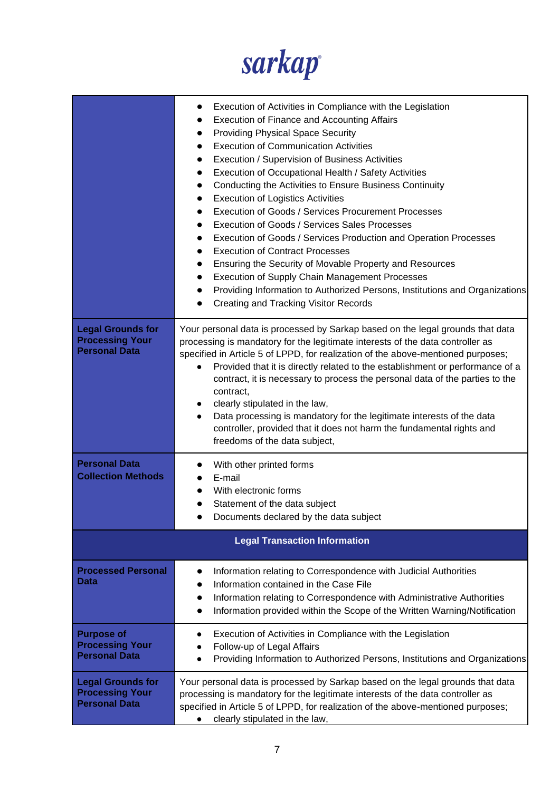

|                                                                            | Execution of Activities in Compliance with the Legislation<br><b>Execution of Finance and Accounting Affairs</b><br><b>Providing Physical Space Security</b><br><b>Execution of Communication Activities</b><br>Execution / Supervision of Business Activities<br>Execution of Occupational Health / Safety Activities<br>Conducting the Activities to Ensure Business Continuity<br><b>Execution of Logistics Activities</b><br><b>Execution of Goods / Services Procurement Processes</b><br>Execution of Goods / Services Sales Processes<br>Execution of Goods / Services Production and Operation Processes<br><b>Execution of Contract Processes</b><br>Ensuring the Security of Movable Property and Resources<br><b>Execution of Supply Chain Management Processes</b><br>Providing Information to Authorized Persons, Institutions and Organizations<br>Creating and Tracking Visitor Records |
|----------------------------------------------------------------------------|--------------------------------------------------------------------------------------------------------------------------------------------------------------------------------------------------------------------------------------------------------------------------------------------------------------------------------------------------------------------------------------------------------------------------------------------------------------------------------------------------------------------------------------------------------------------------------------------------------------------------------------------------------------------------------------------------------------------------------------------------------------------------------------------------------------------------------------------------------------------------------------------------------|
| <b>Legal Grounds for</b><br><b>Processing Your</b><br><b>Personal Data</b> | Your personal data is processed by Sarkap based on the legal grounds that data<br>processing is mandatory for the legitimate interests of the data controller as<br>specified in Article 5 of LPPD, for realization of the above-mentioned purposes;<br>Provided that it is directly related to the establishment or performance of a<br>contract, it is necessary to process the personal data of the parties to the<br>contract,<br>clearly stipulated in the law,<br>Data processing is mandatory for the legitimate interests of the data<br>controller, provided that it does not harm the fundamental rights and<br>freedoms of the data subject,                                                                                                                                                                                                                                                |
| <b>Personal Data</b><br><b>Collection Methods</b>                          | With other printed forms<br>E-mail<br>With electronic forms<br>Statement of the data subject<br>Documents declared by the data subject                                                                                                                                                                                                                                                                                                                                                                                                                                                                                                                                                                                                                                                                                                                                                                 |
|                                                                            | <b>Legal Transaction Information</b>                                                                                                                                                                                                                                                                                                                                                                                                                                                                                                                                                                                                                                                                                                                                                                                                                                                                   |
| <b>Processed Personal</b><br><b>Data</b>                                   | Information relating to Correspondence with Judicial Authorities<br>Information contained in the Case File<br>Information relating to Correspondence with Administrative Authorities<br>Information provided within the Scope of the Written Warning/Notification                                                                                                                                                                                                                                                                                                                                                                                                                                                                                                                                                                                                                                      |
| <b>Purpose of</b><br><b>Processing Your</b><br><b>Personal Data</b>        | Execution of Activities in Compliance with the Legislation<br>Follow-up of Legal Affairs<br>Providing Information to Authorized Persons, Institutions and Organizations                                                                                                                                                                                                                                                                                                                                                                                                                                                                                                                                                                                                                                                                                                                                |
| <b>Legal Grounds for</b><br><b>Processing Your</b><br><b>Personal Data</b> | Your personal data is processed by Sarkap based on the legal grounds that data<br>processing is mandatory for the legitimate interests of the data controller as<br>specified in Article 5 of LPPD, for realization of the above-mentioned purposes;<br>clearly stipulated in the law,                                                                                                                                                                                                                                                                                                                                                                                                                                                                                                                                                                                                                 |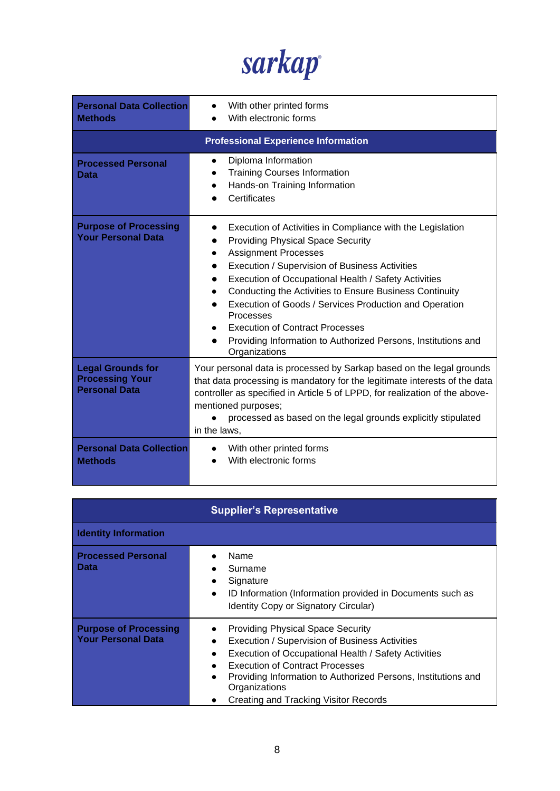sarkap

| <b>Personal Data Collection</b><br><b>Methods</b>                          | With other printed forms<br>With electronic forms                                                                                                                                                                                                                                                                                                                                                                                                                                                             |
|----------------------------------------------------------------------------|---------------------------------------------------------------------------------------------------------------------------------------------------------------------------------------------------------------------------------------------------------------------------------------------------------------------------------------------------------------------------------------------------------------------------------------------------------------------------------------------------------------|
|                                                                            | <b>Professional Experience Information</b>                                                                                                                                                                                                                                                                                                                                                                                                                                                                    |
| <b>Processed Personal</b><br>Data                                          | Diploma Information<br><b>Training Courses Information</b><br>Hands-on Training Information<br>$\bullet$<br>Certificates                                                                                                                                                                                                                                                                                                                                                                                      |
| <b>Purpose of Processing</b><br><b>Your Personal Data</b>                  | Execution of Activities in Compliance with the Legislation<br><b>Providing Physical Space Security</b><br><b>Assignment Processes</b><br>Execution / Supervision of Business Activities<br>Execution of Occupational Health / Safety Activities<br>Conducting the Activities to Ensure Business Continuity<br>Execution of Goods / Services Production and Operation<br>Processes<br><b>Execution of Contract Processes</b><br>Providing Information to Authorized Persons, Institutions and<br>Organizations |
| <b>Legal Grounds for</b><br><b>Processing Your</b><br><b>Personal Data</b> | Your personal data is processed by Sarkap based on the legal grounds<br>that data processing is mandatory for the legitimate interests of the data<br>controller as specified in Article 5 of LPPD, for realization of the above-<br>mentioned purposes;<br>processed as based on the legal grounds explicitly stipulated<br>in the laws,                                                                                                                                                                     |
| <b>Personal Data Collection</b><br><b>Methods</b>                          | With other printed forms<br>With electronic forms                                                                                                                                                                                                                                                                                                                                                                                                                                                             |

| <b>Supplier's Representative</b>                          |                                                                                                                                                                                                                                                                                                                                                   |
|-----------------------------------------------------------|---------------------------------------------------------------------------------------------------------------------------------------------------------------------------------------------------------------------------------------------------------------------------------------------------------------------------------------------------|
| <b>Identity Information</b>                               |                                                                                                                                                                                                                                                                                                                                                   |
| <b>Processed Personal</b><br><b>Data</b>                  | Name<br>Surname<br>Signature<br>$\bullet$<br>ID Information (Information provided in Documents such as<br>$\bullet$<br>Identity Copy or Signatory Circular)                                                                                                                                                                                       |
| <b>Purpose of Processing</b><br><b>Your Personal Data</b> | <b>Providing Physical Space Security</b><br>Execution / Supervision of Business Activities<br>Execution of Occupational Health / Safety Activities<br><b>Execution of Contract Processes</b><br>$\bullet$<br>Providing Information to Authorized Persons, Institutions and<br>$\bullet$<br>Organizations<br>Creating and Tracking Visitor Records |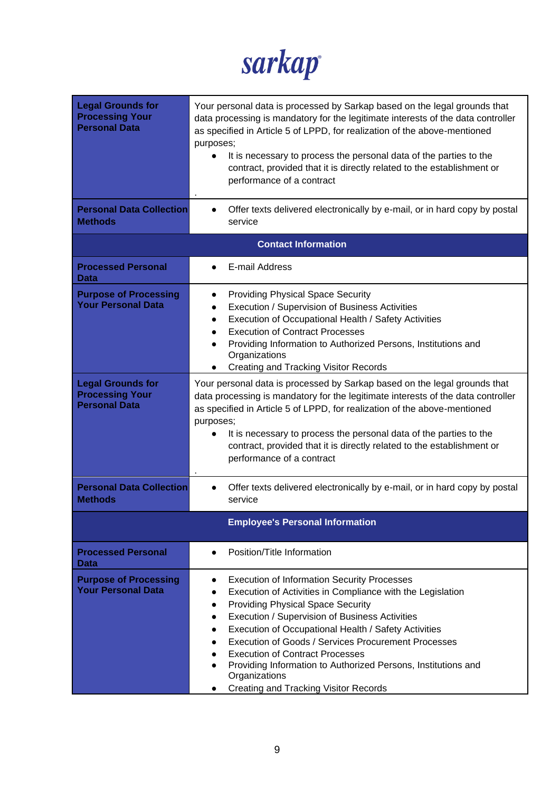sarkap

| <b>Legal Grounds for</b><br><b>Processing Your</b><br><b>Personal Data</b><br><b>Personal Data Collection</b><br><b>Methods</b> | Your personal data is processed by Sarkap based on the legal grounds that<br>data processing is mandatory for the legitimate interests of the data controller<br>as specified in Article 5 of LPPD, for realization of the above-mentioned<br>purposes;<br>It is necessary to process the personal data of the parties to the<br>contract, provided that it is directly related to the establishment or<br>performance of a contract<br>Offer texts delivered electronically by e-mail, or in hard copy by postal<br>service                     |
|---------------------------------------------------------------------------------------------------------------------------------|--------------------------------------------------------------------------------------------------------------------------------------------------------------------------------------------------------------------------------------------------------------------------------------------------------------------------------------------------------------------------------------------------------------------------------------------------------------------------------------------------------------------------------------------------|
|                                                                                                                                 | <b>Contact Information</b>                                                                                                                                                                                                                                                                                                                                                                                                                                                                                                                       |
| <b>Processed Personal</b><br><b>Data</b>                                                                                        | E-mail Address                                                                                                                                                                                                                                                                                                                                                                                                                                                                                                                                   |
| <b>Purpose of Processing</b><br><b>Your Personal Data</b>                                                                       | <b>Providing Physical Space Security</b><br>$\bullet$<br>Execution / Supervision of Business Activities<br>$\bullet$<br>Execution of Occupational Health / Safety Activities<br>$\bullet$<br><b>Execution of Contract Processes</b><br>$\bullet$<br>Providing Information to Authorized Persons, Institutions and<br>Organizations<br><b>Creating and Tracking Visitor Records</b>                                                                                                                                                               |
| <b>Legal Grounds for</b><br><b>Processing Your</b><br><b>Personal Data</b>                                                      | Your personal data is processed by Sarkap based on the legal grounds that<br>data processing is mandatory for the legitimate interests of the data controller<br>as specified in Article 5 of LPPD, for realization of the above-mentioned<br>purposes;<br>It is necessary to process the personal data of the parties to the<br>contract, provided that it is directly related to the establishment or<br>performance of a contract                                                                                                             |
| <b>Personal Data Collection</b><br><b>Methods</b>                                                                               | Offer texts delivered electronically by e-mail, or in hard copy by postal<br>$\bullet$<br>service                                                                                                                                                                                                                                                                                                                                                                                                                                                |
|                                                                                                                                 | <b>Employee's Personal Information</b>                                                                                                                                                                                                                                                                                                                                                                                                                                                                                                           |
| <b>Processed Personal</b><br>Data                                                                                               | Position/Title Information                                                                                                                                                                                                                                                                                                                                                                                                                                                                                                                       |
| <b>Purpose of Processing</b><br><b>Your Personal Data</b>                                                                       | <b>Execution of Information Security Processes</b><br>$\bullet$<br>Execution of Activities in Compliance with the Legislation<br><b>Providing Physical Space Security</b><br>Execution / Supervision of Business Activities<br>$\bullet$<br>Execution of Occupational Health / Safety Activities<br>$\bullet$<br>Execution of Goods / Services Procurement Processes<br><b>Execution of Contract Processes</b><br>Providing Information to Authorized Persons, Institutions and<br>Organizations<br><b>Creating and Tracking Visitor Records</b> |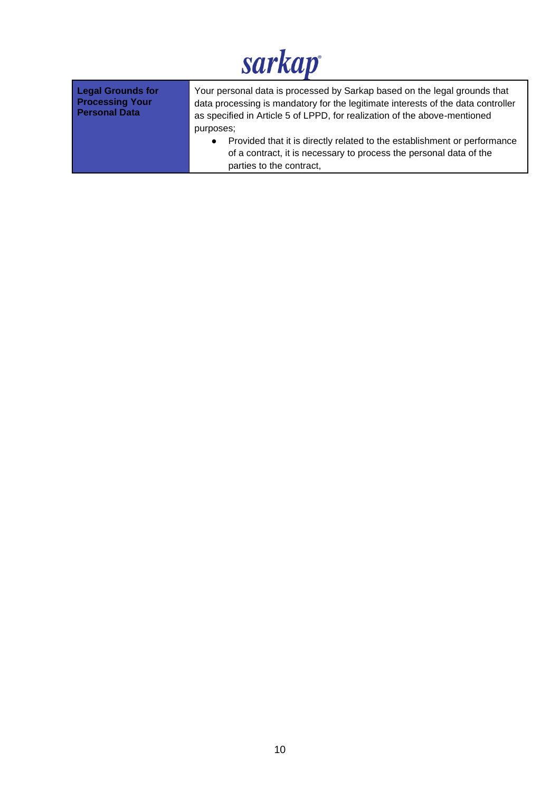| <b>Legal Grounds for</b> | Your personal data is processed by Sarkap based on the legal grounds that                                                                                                                            |
|--------------------------|------------------------------------------------------------------------------------------------------------------------------------------------------------------------------------------------------|
| <b>Processing Your</b>   | data processing is mandatory for the legitimate interests of the data controller                                                                                                                     |
| <b>Personal Data</b>     | as specified in Article 5 of LPPD, for realization of the above-mentioned                                                                                                                            |
|                          | purposes;<br>Provided that it is directly related to the establishment or performance<br>$\bullet$<br>of a contract, it is necessary to process the personal data of the<br>parties to the contract, |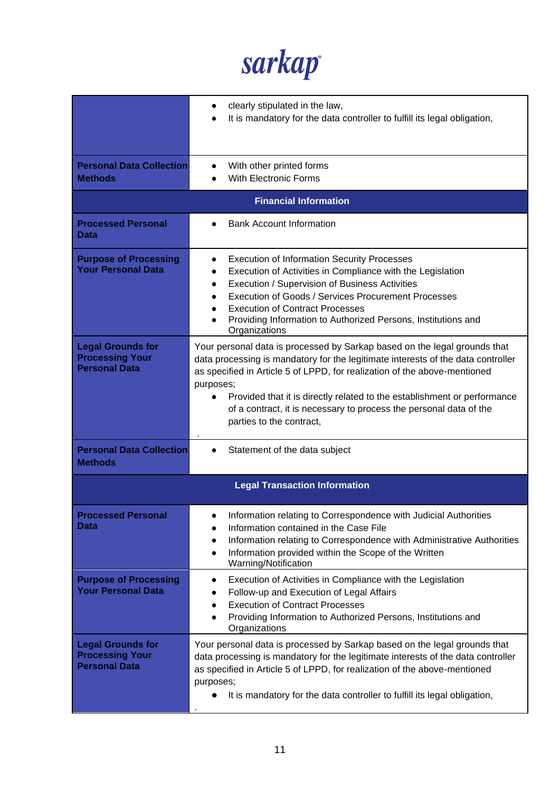sarkap

|                                                                            | clearly stipulated in the law,<br>It is mandatory for the data controller to fulfill its legal obligation,                                                                                                                                                                                                                                                                                                                                         |
|----------------------------------------------------------------------------|----------------------------------------------------------------------------------------------------------------------------------------------------------------------------------------------------------------------------------------------------------------------------------------------------------------------------------------------------------------------------------------------------------------------------------------------------|
| <b>Personal Data Collection</b><br><b>Methods</b>                          | With other printed forms<br>With Electronic Forms                                                                                                                                                                                                                                                                                                                                                                                                  |
|                                                                            | <b>Financial Information</b>                                                                                                                                                                                                                                                                                                                                                                                                                       |
| <b>Processed Personal</b><br>Data                                          | <b>Bank Account Information</b>                                                                                                                                                                                                                                                                                                                                                                                                                    |
| <b>Purpose of Processing</b><br><b>Your Personal Data</b>                  | <b>Execution of Information Security Processes</b><br>$\bullet$<br>Execution of Activities in Compliance with the Legislation<br>$\bullet$<br>Execution / Supervision of Business Activities<br>$\bullet$<br>Execution of Goods / Services Procurement Processes<br><b>Execution of Contract Processes</b><br>Providing Information to Authorized Persons, Institutions and<br>Organizations                                                       |
| <b>Legal Grounds for</b><br><b>Processing Your</b><br><b>Personal Data</b> | Your personal data is processed by Sarkap based on the legal grounds that<br>data processing is mandatory for the legitimate interests of the data controller<br>as specified in Article 5 of LPPD, for realization of the above-mentioned<br>purposes;<br>Provided that it is directly related to the establishment or performance<br>$\bullet$<br>of a contract, it is necessary to process the personal data of the<br>parties to the contract, |
| <b>Personal Data Collection</b><br><b>Methods</b>                          | Statement of the data subject                                                                                                                                                                                                                                                                                                                                                                                                                      |
|                                                                            | <b>Legal Transaction Information</b>                                                                                                                                                                                                                                                                                                                                                                                                               |
| <b>Processed Personal</b><br>Data                                          | Information relating to Correspondence with Judicial Authorities<br>Information contained in the Case File<br>Information relating to Correspondence with Administrative Authorities<br>$\bullet$<br>Information provided within the Scope of the Written<br>$\bullet$<br>Warning/Notification                                                                                                                                                     |
| <b>Purpose of Processing</b><br><b>Your Personal Data</b>                  | Execution of Activities in Compliance with the Legislation<br>$\bullet$<br>Follow-up and Execution of Legal Affairs<br><b>Execution of Contract Processes</b><br>$\bullet$<br>Providing Information to Authorized Persons, Institutions and<br>Organizations                                                                                                                                                                                       |
| <b>Legal Grounds for</b><br><b>Processing Your</b><br><b>Personal Data</b> | Your personal data is processed by Sarkap based on the legal grounds that<br>data processing is mandatory for the legitimate interests of the data controller<br>as specified in Article 5 of LPPD, for realization of the above-mentioned<br>purposes;<br>It is mandatory for the data controller to fulfill its legal obligation,                                                                                                                |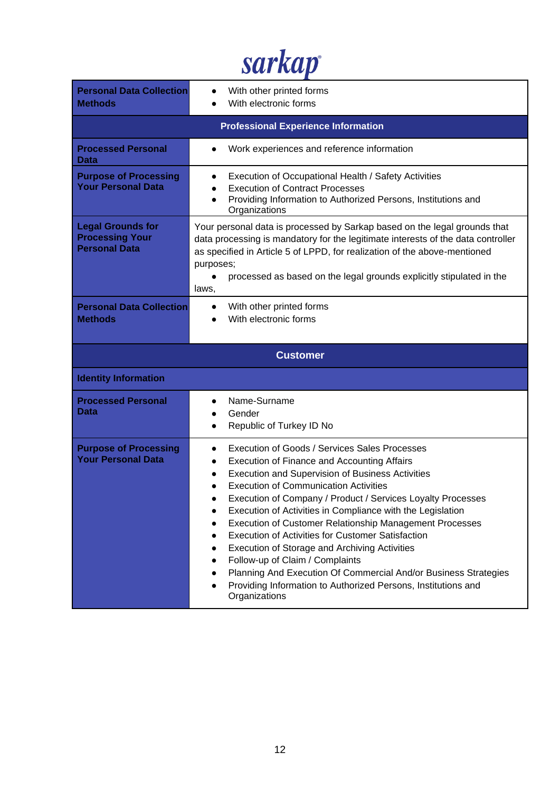sarkap

| <b>Personal Data Collection</b><br><b>Methods</b>                          | With other printed forms<br>With electronic forms                                                                                                                                                                                                                                                                                        |  |
|----------------------------------------------------------------------------|------------------------------------------------------------------------------------------------------------------------------------------------------------------------------------------------------------------------------------------------------------------------------------------------------------------------------------------|--|
|                                                                            | <b>Professional Experience Information</b>                                                                                                                                                                                                                                                                                               |  |
| <b>Processed Personal</b><br>Data                                          | Work experiences and reference information                                                                                                                                                                                                                                                                                               |  |
| <b>Purpose of Processing</b><br><b>Your Personal Data</b>                  | Execution of Occupational Health / Safety Activities<br>$\bullet$<br><b>Execution of Contract Processes</b><br>Providing Information to Authorized Persons, Institutions and<br>Organizations                                                                                                                                            |  |
| <b>Legal Grounds for</b><br><b>Processing Your</b><br><b>Personal Data</b> | Your personal data is processed by Sarkap based on the legal grounds that<br>data processing is mandatory for the legitimate interests of the data controller<br>as specified in Article 5 of LPPD, for realization of the above-mentioned<br>purposes;<br>processed as based on the legal grounds explicitly stipulated in the<br>laws, |  |
| <b>Personal Data Collection</b><br><b>Methods</b>                          | With other printed forms<br>With electronic forms                                                                                                                                                                                                                                                                                        |  |
| <b>Customer</b>                                                            |                                                                                                                                                                                                                                                                                                                                          |  |
|                                                                            |                                                                                                                                                                                                                                                                                                                                          |  |
| <b>Identity Information</b>                                                |                                                                                                                                                                                                                                                                                                                                          |  |
| <b>Processed Personal</b><br>Data                                          | Name-Surname<br>$\bullet$<br>Gender<br>Republic of Turkey ID No                                                                                                                                                                                                                                                                          |  |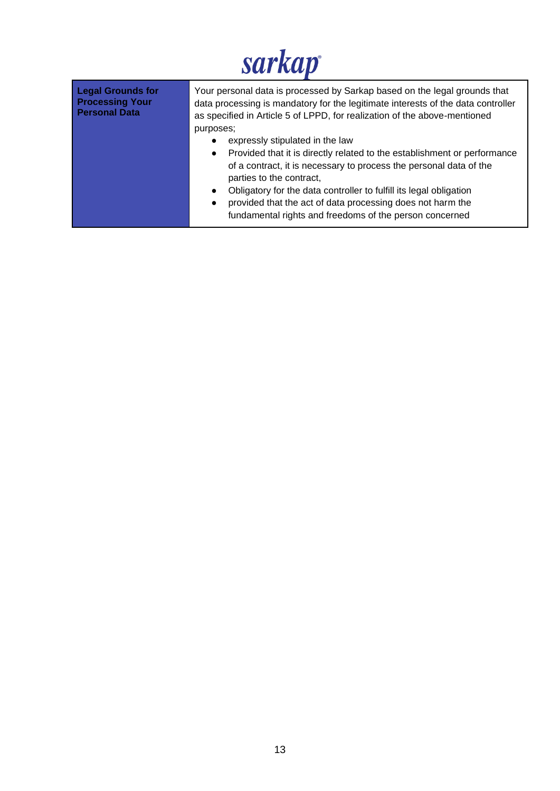| <b>Legal Grounds for</b><br><b>Processing Your</b><br><b>Personal Data</b> | Your personal data is processed by Sarkap based on the legal grounds that<br>data processing is mandatory for the legitimate interests of the data controller<br>as specified in Article 5 of LPPD, for realization of the above-mentioned<br>purposes;                                                                                                                                                                                             |
|----------------------------------------------------------------------------|-----------------------------------------------------------------------------------------------------------------------------------------------------------------------------------------------------------------------------------------------------------------------------------------------------------------------------------------------------------------------------------------------------------------------------------------------------|
|                                                                            | expressly stipulated in the law<br>Provided that it is directly related to the establishment or performance<br>$\bullet$<br>of a contract, it is necessary to process the personal data of the<br>parties to the contract,<br>Obligatory for the data controller to fulfill its legal obligation<br>$\bullet$<br>provided that the act of data processing does not harm the<br>$\bullet$<br>fundamental rights and freedoms of the person concerned |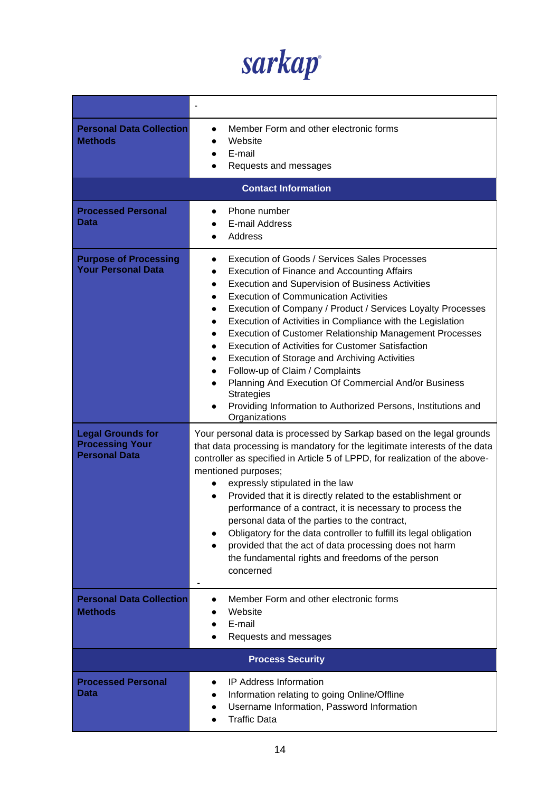sarkap

| <b>Personal Data Collection</b><br><b>Methods</b>                          | Member Form and other electronic forms<br>Website<br>E-mail<br>Requests and messages                                                                                                                                                                                                                                                                                                                                                                                                                                                                                                                                                                                                                                                                                                                                                                                        |
|----------------------------------------------------------------------------|-----------------------------------------------------------------------------------------------------------------------------------------------------------------------------------------------------------------------------------------------------------------------------------------------------------------------------------------------------------------------------------------------------------------------------------------------------------------------------------------------------------------------------------------------------------------------------------------------------------------------------------------------------------------------------------------------------------------------------------------------------------------------------------------------------------------------------------------------------------------------------|
|                                                                            | <b>Contact Information</b>                                                                                                                                                                                                                                                                                                                                                                                                                                                                                                                                                                                                                                                                                                                                                                                                                                                  |
| <b>Processed Personal</b><br>Data                                          | Phone number<br>E-mail Address<br>Address<br>$\bullet$                                                                                                                                                                                                                                                                                                                                                                                                                                                                                                                                                                                                                                                                                                                                                                                                                      |
| <b>Purpose of Processing</b><br><b>Your Personal Data</b>                  | Execution of Goods / Services Sales Processes<br>$\bullet$<br><b>Execution of Finance and Accounting Affairs</b><br>$\bullet$<br><b>Execution and Supervision of Business Activities</b><br>$\bullet$<br><b>Execution of Communication Activities</b><br>Execution of Company / Product / Services Loyalty Processes<br>$\bullet$<br>Execution of Activities in Compliance with the Legislation<br>$\bullet$<br><b>Execution of Customer Relationship Management Processes</b><br>$\bullet$<br><b>Execution of Activities for Customer Satisfaction</b><br>$\bullet$<br>Execution of Storage and Archiving Activities<br>$\bullet$<br>Follow-up of Claim / Complaints<br>$\bullet$<br>Planning And Execution Of Commercial And/or Business<br>$\bullet$<br><b>Strategies</b><br>Providing Information to Authorized Persons, Institutions and<br>$\bullet$<br>Organizations |
| <b>Legal Grounds for</b><br><b>Processing Your</b><br><b>Personal Data</b> | Your personal data is processed by Sarkap based on the legal grounds<br>that data processing is mandatory for the legitimate interests of the data<br>controller as specified in Article 5 of LPPD, for realization of the above-<br>mentioned purposes;<br>expressly stipulated in the law<br>Provided that it is directly related to the establishment or<br>$\bullet$<br>performance of a contract, it is necessary to process the<br>personal data of the parties to the contract,<br>Obligatory for the data controller to fulfill its legal obligation<br>provided that the act of data processing does not harm<br>the fundamental rights and freedoms of the person<br>concerned                                                                                                                                                                                    |
| <b>Personal Data Collection</b><br><b>Methods</b>                          | Member Form and other electronic forms<br>Website<br>E-mail<br>Requests and messages                                                                                                                                                                                                                                                                                                                                                                                                                                                                                                                                                                                                                                                                                                                                                                                        |
|                                                                            | <b>Process Security</b>                                                                                                                                                                                                                                                                                                                                                                                                                                                                                                                                                                                                                                                                                                                                                                                                                                                     |
| <b>Processed Personal</b><br>Data                                          | <b>IP Address Information</b><br>$\bullet$<br>Information relating to going Online/Offline<br>Username Information, Password Information<br><b>Traffic Data</b>                                                                                                                                                                                                                                                                                                                                                                                                                                                                                                                                                                                                                                                                                                             |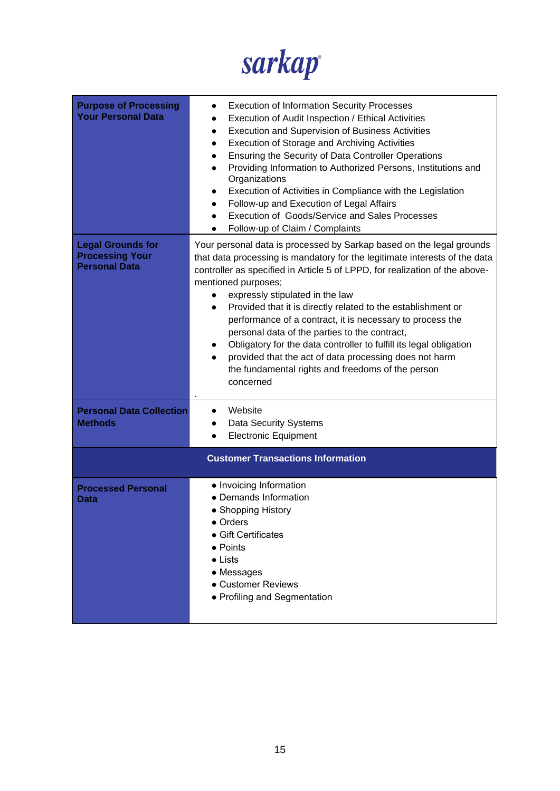

| <b>Purpose of Processing</b><br><b>Your Personal Data</b>                  | <b>Execution of Information Security Processes</b><br>$\bullet$<br>Execution of Audit Inspection / Ethical Activities<br>$\bullet$<br><b>Execution and Supervision of Business Activities</b><br>$\bullet$<br>Execution of Storage and Archiving Activities<br>$\bullet$<br>Ensuring the Security of Data Controller Operations<br>Providing Information to Authorized Persons, Institutions and<br>Organizations<br>Execution of Activities in Compliance with the Legislation<br>Follow-up and Execution of Legal Affairs<br>Execution of Goods/Service and Sales Processes<br>Follow-up of Claim / Complaints                                                                         |  |  |
|----------------------------------------------------------------------------|------------------------------------------------------------------------------------------------------------------------------------------------------------------------------------------------------------------------------------------------------------------------------------------------------------------------------------------------------------------------------------------------------------------------------------------------------------------------------------------------------------------------------------------------------------------------------------------------------------------------------------------------------------------------------------------|--|--|
| <b>Legal Grounds for</b><br><b>Processing Your</b><br><b>Personal Data</b> | Your personal data is processed by Sarkap based on the legal grounds<br>that data processing is mandatory for the legitimate interests of the data<br>controller as specified in Article 5 of LPPD, for realization of the above-<br>mentioned purposes;<br>expressly stipulated in the law<br>Provided that it is directly related to the establishment or<br>$\bullet$<br>performance of a contract, it is necessary to process the<br>personal data of the parties to the contract,<br>Obligatory for the data controller to fulfill its legal obligation<br>provided that the act of data processing does not harm<br>the fundamental rights and freedoms of the person<br>concerned |  |  |
| <b>Personal Data Collection</b><br><b>Methods</b>                          | Website<br>Data Security Systems<br><b>Electronic Equipment</b>                                                                                                                                                                                                                                                                                                                                                                                                                                                                                                                                                                                                                          |  |  |
|                                                                            | <b>Customer Transactions Information</b>                                                                                                                                                                                                                                                                                                                                                                                                                                                                                                                                                                                                                                                 |  |  |
| <b>Processed Personal</b><br>Data                                          | • Invoicing Information<br>• Demands Information<br>• Shopping History<br>$\bullet$ Orders<br>$\bullet$ Gift Certificates<br>$\bullet$ Points<br>$\bullet$ Lists<br>• Messages<br><b>• Customer Reviews</b><br>• Profiling and Segmentation                                                                                                                                                                                                                                                                                                                                                                                                                                              |  |  |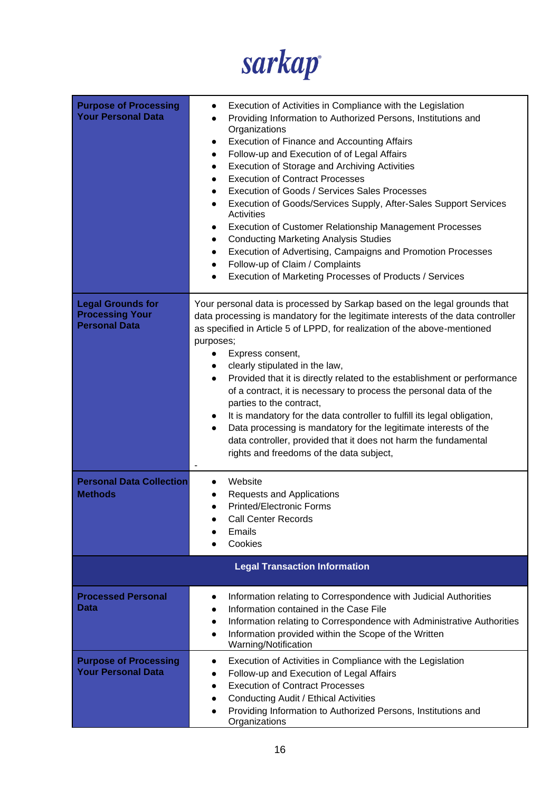

| <b>Purpose of Processing</b><br><b>Your Personal Data</b>                  | Execution of Activities in Compliance with the Legislation<br>Providing Information to Authorized Persons, Institutions and<br>Organizations<br><b>Execution of Finance and Accounting Affairs</b><br>$\bullet$<br>Follow-up and Execution of of Legal Affairs<br>$\bullet$<br>Execution of Storage and Archiving Activities<br>$\bullet$<br><b>Execution of Contract Processes</b><br><b>Execution of Goods / Services Sales Processes</b><br>Execution of Goods/Services Supply, After-Sales Support Services<br>$\bullet$<br>Activities<br><b>Execution of Customer Relationship Management Processes</b><br>$\bullet$<br><b>Conducting Marketing Analysis Studies</b><br>$\bullet$<br>Execution of Advertising, Campaigns and Promotion Processes<br>$\bullet$<br>Follow-up of Claim / Complaints<br>$\bullet$<br>Execution of Marketing Processes of Products / Services<br>$\bullet$ |
|----------------------------------------------------------------------------|--------------------------------------------------------------------------------------------------------------------------------------------------------------------------------------------------------------------------------------------------------------------------------------------------------------------------------------------------------------------------------------------------------------------------------------------------------------------------------------------------------------------------------------------------------------------------------------------------------------------------------------------------------------------------------------------------------------------------------------------------------------------------------------------------------------------------------------------------------------------------------------------|
| <b>Legal Grounds for</b><br><b>Processing Your</b><br><b>Personal Data</b> | Your personal data is processed by Sarkap based on the legal grounds that<br>data processing is mandatory for the legitimate interests of the data controller<br>as specified in Article 5 of LPPD, for realization of the above-mentioned<br>purposes;<br>Express consent,<br>clearly stipulated in the law,<br>Provided that it is directly related to the establishment or performance<br>$\bullet$<br>of a contract, it is necessary to process the personal data of the<br>parties to the contract,<br>It is mandatory for the data controller to fulfill its legal obligation,<br>Data processing is mandatory for the legitimate interests of the<br>data controller, provided that it does not harm the fundamental<br>rights and freedoms of the data subject,                                                                                                                    |
| <b>Personal Data Collection</b><br><b>Methods</b>                          | Website<br><b>Requests and Applications</b><br><b>Printed/Electronic Forms</b><br><b>Call Center Records</b><br>Emails<br>Cookies                                                                                                                                                                                                                                                                                                                                                                                                                                                                                                                                                                                                                                                                                                                                                          |
|                                                                            | <b>Legal Transaction Information</b>                                                                                                                                                                                                                                                                                                                                                                                                                                                                                                                                                                                                                                                                                                                                                                                                                                                       |
| <b>Processed Personal</b><br>Data                                          | Information relating to Correspondence with Judicial Authorities<br>$\bullet$<br>Information contained in the Case File<br>$\bullet$<br>Information relating to Correspondence with Administrative Authorities<br>$\bullet$<br>Information provided within the Scope of the Written<br>$\bullet$<br>Warning/Notification                                                                                                                                                                                                                                                                                                                                                                                                                                                                                                                                                                   |
| <b>Purpose of Processing</b><br><b>Your Personal Data</b>                  | Execution of Activities in Compliance with the Legislation<br>$\bullet$<br>Follow-up and Execution of Legal Affairs<br>$\bullet$<br><b>Execution of Contract Processes</b><br>Conducting Audit / Ethical Activities<br>Providing Information to Authorized Persons, Institutions and<br>$\bullet$<br>Organizations                                                                                                                                                                                                                                                                                                                                                                                                                                                                                                                                                                         |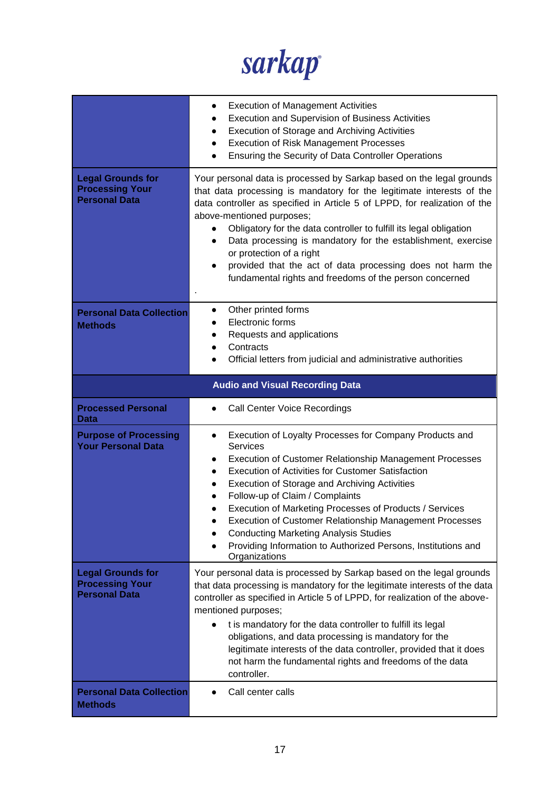sarkap

|                                                                            | <b>Execution of Management Activities</b><br>$\bullet$<br><b>Execution and Supervision of Business Activities</b><br>$\bullet$<br>Execution of Storage and Archiving Activities<br>$\bullet$<br><b>Execution of Risk Management Processes</b><br>$\bullet$<br>Ensuring the Security of Data Controller Operations<br>$\bullet$                                                                                                                                                                                                                                                                                  |
|----------------------------------------------------------------------------|-----------------------------------------------------------------------------------------------------------------------------------------------------------------------------------------------------------------------------------------------------------------------------------------------------------------------------------------------------------------------------------------------------------------------------------------------------------------------------------------------------------------------------------------------------------------------------------------------------------------|
| <b>Legal Grounds for</b><br><b>Processing Your</b><br><b>Personal Data</b> | Your personal data is processed by Sarkap based on the legal grounds<br>that data processing is mandatory for the legitimate interests of the<br>data controller as specified in Article 5 of LPPD, for realization of the<br>above-mentioned purposes;<br>Obligatory for the data controller to fulfill its legal obligation<br>$\bullet$<br>Data processing is mandatory for the establishment, exercise<br>$\bullet$<br>or protection of a right<br>provided that the act of data processing does not harm the<br>fundamental rights and freedoms of the person concerned                                    |
| <b>Personal Data Collection</b><br><b>Methods</b>                          | Other printed forms<br>$\bullet$<br>Electronic forms<br>Requests and applications<br>Contracts<br>$\bullet$<br>Official letters from judicial and administrative authorities                                                                                                                                                                                                                                                                                                                                                                                                                                    |
|                                                                            | <b>Audio and Visual Recording Data</b>                                                                                                                                                                                                                                                                                                                                                                                                                                                                                                                                                                          |
| <b>Processed Personal</b><br>Data                                          | Call Center Voice Recordings                                                                                                                                                                                                                                                                                                                                                                                                                                                                                                                                                                                    |
| <b>Purpose of Processing</b><br><b>Your Personal Data</b>                  | Execution of Loyalty Processes for Company Products and<br>$\bullet$<br>Services<br><b>Execution of Customer Relationship Management Processes</b><br>$\bullet$<br><b>Execution of Activities for Customer Satisfaction</b><br>$\bullet$<br><b>Execution of Storage and Archiving Activities</b><br>$\bullet$<br>Follow-up of Claim / Complaints<br>Execution of Marketing Processes of Products / Services<br><b>Execution of Customer Relationship Management Processes</b><br><b>Conducting Marketing Analysis Studies</b><br>Providing Information to Authorized Persons, Institutions and<br>Organizations |
| <b>Legal Grounds for</b><br><b>Processing Your</b><br><b>Personal Data</b> | Your personal data is processed by Sarkap based on the legal grounds<br>that data processing is mandatory for the legitimate interests of the data<br>controller as specified in Article 5 of LPPD, for realization of the above-<br>mentioned purposes;<br>t is mandatory for the data controller to fulfill its legal<br>obligations, and data processing is mandatory for the<br>legitimate interests of the data controller, provided that it does<br>not harm the fundamental rights and freedoms of the data<br>controller.                                                                               |
| <b>Personal Data Collection</b><br><b>Methods</b>                          | Call center calls                                                                                                                                                                                                                                                                                                                                                                                                                                                                                                                                                                                               |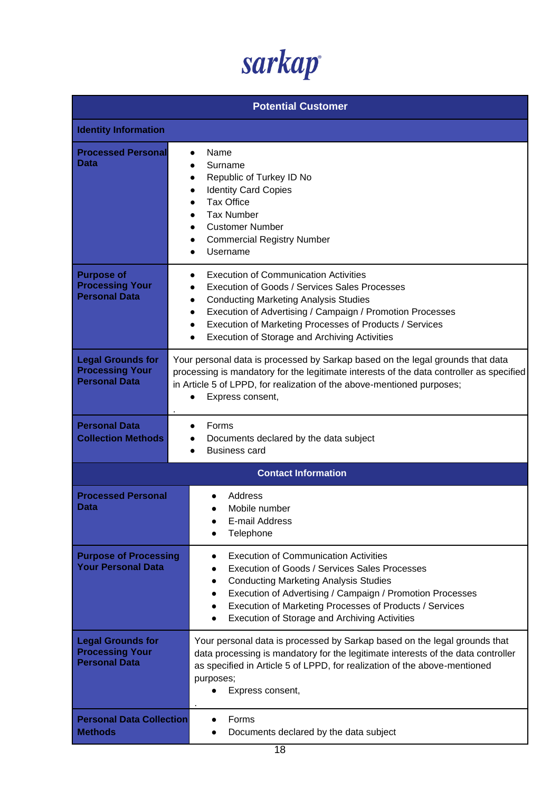| <b>Potential Customer</b>                                                  |                                                                                                                                                                                                                                                                                                                                                               |
|----------------------------------------------------------------------------|---------------------------------------------------------------------------------------------------------------------------------------------------------------------------------------------------------------------------------------------------------------------------------------------------------------------------------------------------------------|
| <b>Identity Information</b>                                                |                                                                                                                                                                                                                                                                                                                                                               |
| <b>Processed Personal</b><br>Data                                          | Name<br>Surname<br>Republic of Turkey ID No<br><b>Identity Card Copies</b><br><b>Tax Office</b><br><b>Tax Number</b><br><b>Customer Number</b><br><b>Commercial Registry Number</b><br>Username                                                                                                                                                               |
| <b>Purpose of</b><br><b>Processing Your</b><br><b>Personal Data</b>        | <b>Execution of Communication Activities</b><br>Execution of Goods / Services Sales Processes<br><b>Conducting Marketing Analysis Studies</b><br>$\bullet$<br>Execution of Advertising / Campaign / Promotion Processes<br>$\bullet$<br>Execution of Marketing Processes of Products / Services<br><b>Execution of Storage and Archiving Activities</b>       |
| <b>Legal Grounds for</b><br><b>Processing Your</b><br><b>Personal Data</b> | Your personal data is processed by Sarkap based on the legal grounds that data<br>processing is mandatory for the legitimate interests of the data controller as specified<br>in Article 5 of LPPD, for realization of the above-mentioned purposes;<br>Express consent,                                                                                      |
| <b>Personal Data</b><br><b>Collection Methods</b>                          | Forms<br>Documents declared by the data subject<br><b>Business card</b>                                                                                                                                                                                                                                                                                       |
|                                                                            | <b>Contact Information</b>                                                                                                                                                                                                                                                                                                                                    |
| <b>Processed Personal</b><br><b>Data</b>                                   | Address<br>Mobile number<br>E-mail Address<br>Telephone                                                                                                                                                                                                                                                                                                       |
| <b>Purpose of Processing</b><br><b>Your Personal Data</b>                  | <b>Execution of Communication Activities</b><br>$\bullet$<br>Execution of Goods / Services Sales Processes<br><b>Conducting Marketing Analysis Studies</b><br>$\bullet$<br>Execution of Advertising / Campaign / Promotion Processes<br>$\bullet$<br>Execution of Marketing Processes of Products / Services<br>Execution of Storage and Archiving Activities |
| <b>Legal Grounds for</b><br><b>Processing Your</b><br><b>Personal Data</b> | Your personal data is processed by Sarkap based on the legal grounds that<br>data processing is mandatory for the legitimate interests of the data controller<br>as specified in Article 5 of LPPD, for realization of the above-mentioned<br>purposes;<br>Express consent,                                                                                   |
| <b>Personal Data Collection</b><br><b>Methods</b>                          | Forms<br>Documents declared by the data subject                                                                                                                                                                                                                                                                                                               |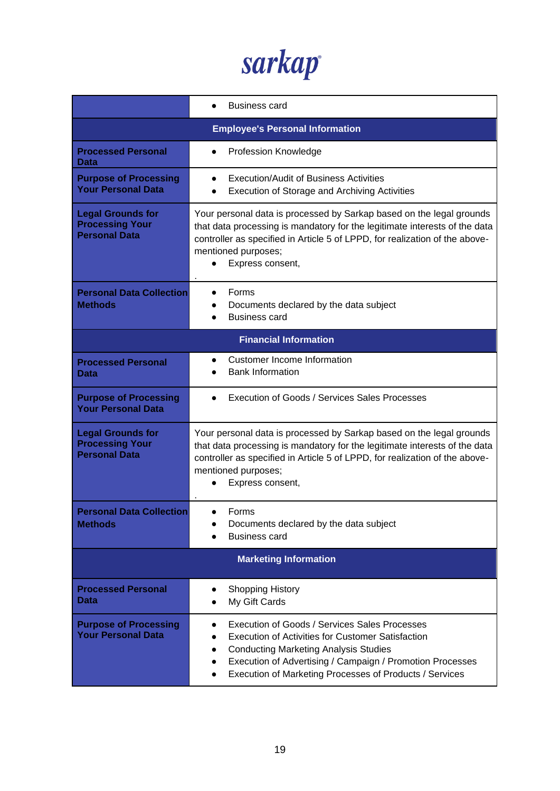sarkap

|                                                                            | <b>Business card</b>                                                                                                                                                                                                                                                                                               |  |  |
|----------------------------------------------------------------------------|--------------------------------------------------------------------------------------------------------------------------------------------------------------------------------------------------------------------------------------------------------------------------------------------------------------------|--|--|
|                                                                            | <b>Employee's Personal Information</b>                                                                                                                                                                                                                                                                             |  |  |
| <b>Processed Personal</b><br><b>Data</b>                                   | <b>Profession Knowledge</b>                                                                                                                                                                                                                                                                                        |  |  |
| <b>Purpose of Processing</b><br><b>Your Personal Data</b>                  | Execution/Audit of Business Activities<br>Execution of Storage and Archiving Activities                                                                                                                                                                                                                            |  |  |
| <b>Legal Grounds for</b><br><b>Processing Your</b><br><b>Personal Data</b> | Your personal data is processed by Sarkap based on the legal grounds<br>that data processing is mandatory for the legitimate interests of the data<br>controller as specified in Article 5 of LPPD, for realization of the above-<br>mentioned purposes;<br>Express consent,                                       |  |  |
| <b>Personal Data Collection</b><br><b>Methods</b>                          | Forms<br>Documents declared by the data subject<br><b>Business card</b>                                                                                                                                                                                                                                            |  |  |
|                                                                            | <b>Financial Information</b>                                                                                                                                                                                                                                                                                       |  |  |
| <b>Processed Personal</b><br>Data                                          | Customer Income Information<br><b>Bank Information</b>                                                                                                                                                                                                                                                             |  |  |
| <b>Purpose of Processing</b><br><b>Your Personal Data</b>                  | Execution of Goods / Services Sales Processes                                                                                                                                                                                                                                                                      |  |  |
| <b>Legal Grounds for</b><br><b>Processing Your</b><br><b>Personal Data</b> | Your personal data is processed by Sarkap based on the legal grounds<br>that data processing is mandatory for the legitimate interests of the data<br>controller as specified in Article 5 of LPPD, for realization of the above-<br>mentioned purposes;<br>Express consent,                                       |  |  |
| <b>Personal Data Collection</b><br><b>Methods</b>                          | Forms<br>Documents declared by the data subject<br><b>Business card</b>                                                                                                                                                                                                                                            |  |  |
| <b>Marketing Information</b>                                               |                                                                                                                                                                                                                                                                                                                    |  |  |
| <b>Processed Personal</b><br>Data                                          | <b>Shopping History</b><br>My Gift Cards                                                                                                                                                                                                                                                                           |  |  |
| <b>Purpose of Processing</b><br><b>Your Personal Data</b>                  | <b>Execution of Goods / Services Sales Processes</b><br><b>Execution of Activities for Customer Satisfaction</b><br><b>Conducting Marketing Analysis Studies</b><br>$\bullet$<br>Execution of Advertising / Campaign / Promotion Processes<br>$\bullet$<br>Execution of Marketing Processes of Products / Services |  |  |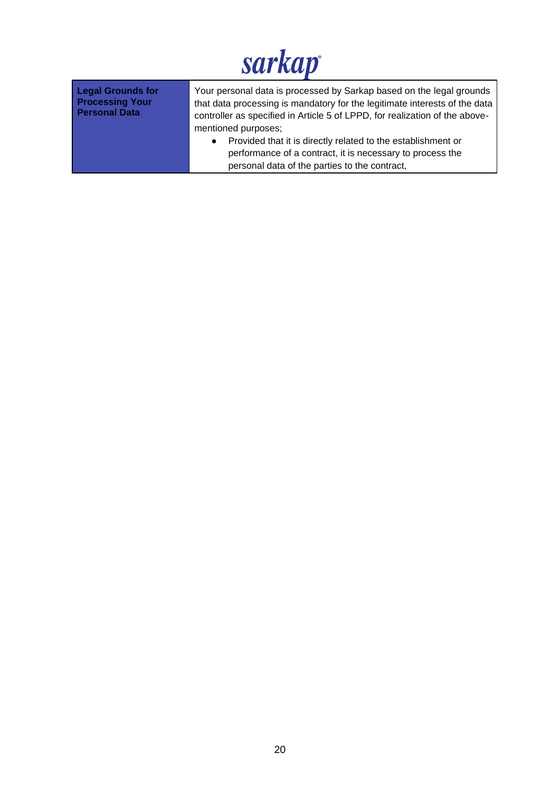| <b>Legal Grounds for</b><br><b>Processing Your</b><br><b>Personal Data</b> | Your personal data is processed by Sarkap based on the legal grounds<br>that data processing is mandatory for the legitimate interests of the data<br>controller as specified in Article 5 of LPPD, for realization of the above- |
|----------------------------------------------------------------------------|-----------------------------------------------------------------------------------------------------------------------------------------------------------------------------------------------------------------------------------|
|                                                                            | mentioned purposes;                                                                                                                                                                                                               |
|                                                                            | Provided that it is directly related to the establishment or<br>$\bullet$                                                                                                                                                         |
|                                                                            | performance of a contract, it is necessary to process the                                                                                                                                                                         |
|                                                                            | personal data of the parties to the contract,                                                                                                                                                                                     |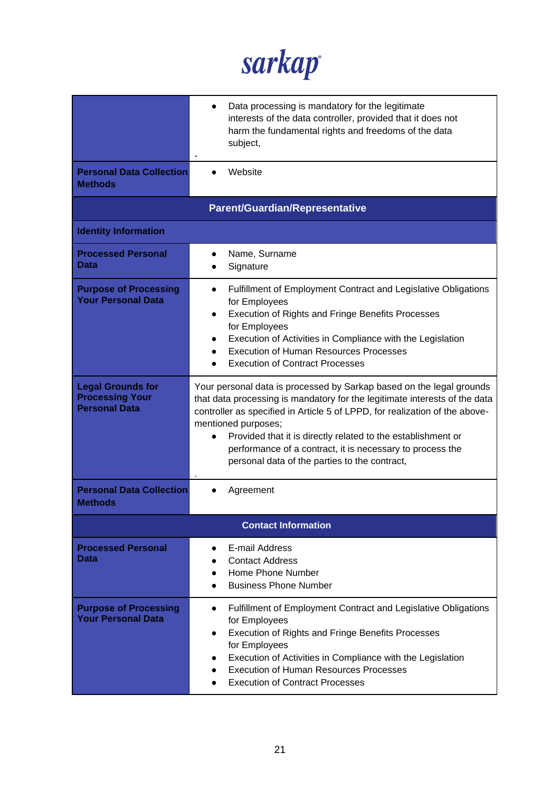sarkap

|                                                                            | Data processing is mandatory for the legitimate<br>interests of the data controller, provided that it does not<br>harm the fundamental rights and freedoms of the data<br>subject,                                                                                                                                                                                                                                                     |
|----------------------------------------------------------------------------|----------------------------------------------------------------------------------------------------------------------------------------------------------------------------------------------------------------------------------------------------------------------------------------------------------------------------------------------------------------------------------------------------------------------------------------|
| <b>Personal Data Collection</b><br><b>Methods</b>                          | Website                                                                                                                                                                                                                                                                                                                                                                                                                                |
|                                                                            | <b>Parent/Guardian/Representative</b>                                                                                                                                                                                                                                                                                                                                                                                                  |
| <b>Identity Information</b>                                                |                                                                                                                                                                                                                                                                                                                                                                                                                                        |
| <b>Processed Personal</b><br>Data                                          | Name, Surname<br>Signature                                                                                                                                                                                                                                                                                                                                                                                                             |
| <b>Purpose of Processing</b><br><b>Your Personal Data</b>                  | Fulfillment of Employment Contract and Legislative Obligations<br>for Employees<br>Execution of Rights and Fringe Benefits Processes<br>$\bullet$<br>for Employees<br>Execution of Activities in Compliance with the Legislation<br><b>Execution of Human Resources Processes</b><br><b>Execution of Contract Processes</b>                                                                                                            |
| <b>Legal Grounds for</b><br><b>Processing Your</b><br><b>Personal Data</b> | Your personal data is processed by Sarkap based on the legal grounds<br>that data processing is mandatory for the legitimate interests of the data<br>controller as specified in Article 5 of LPPD, for realization of the above-<br>mentioned purposes;<br>Provided that it is directly related to the establishment or<br>performance of a contract, it is necessary to process the<br>personal data of the parties to the contract, |
| <b>Personal Data Collection</b><br><b>Methods</b>                          | Agreement                                                                                                                                                                                                                                                                                                                                                                                                                              |
|                                                                            | <b>Contact Information</b>                                                                                                                                                                                                                                                                                                                                                                                                             |
| <b>Processed Personal</b><br>Data                                          | E-mail Address<br><b>Contact Address</b><br>Home Phone Number<br>$\bullet$<br><b>Business Phone Number</b>                                                                                                                                                                                                                                                                                                                             |
| <b>Purpose of Processing</b><br><b>Your Personal Data</b>                  | Fulfillment of Employment Contract and Legislative Obligations<br>$\bullet$<br>for Employees<br><b>Execution of Rights and Fringe Benefits Processes</b><br>for Employees<br>Execution of Activities in Compliance with the Legislation<br><b>Execution of Human Resources Processes</b><br><b>Execution of Contract Processes</b>                                                                                                     |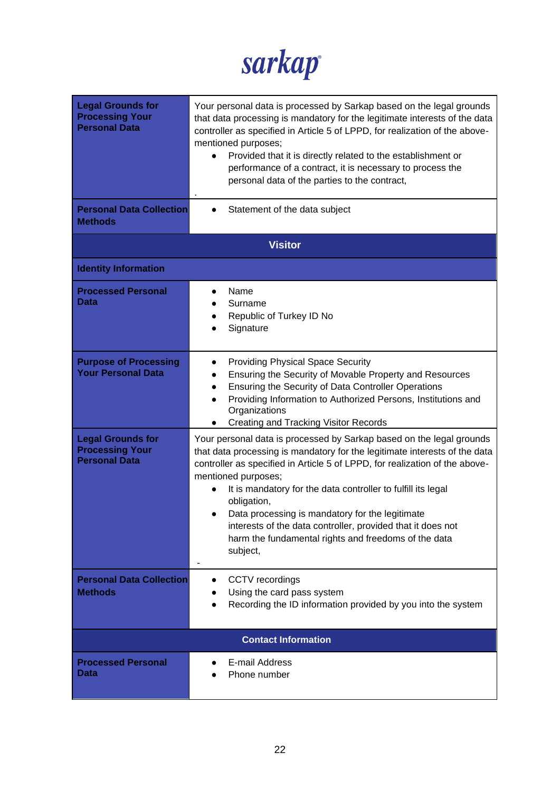sarkap

| <b>Legal Grounds for</b><br><b>Processing Your</b><br><b>Personal Data</b><br><b>Personal Data Collection</b><br><b>Methods</b> | Your personal data is processed by Sarkap based on the legal grounds<br>that data processing is mandatory for the legitimate interests of the data<br>controller as specified in Article 5 of LPPD, for realization of the above-<br>mentioned purposes;<br>Provided that it is directly related to the establishment or<br>performance of a contract, it is necessary to process the<br>personal data of the parties to the contract,<br>Statement of the data subject                                                       |
|---------------------------------------------------------------------------------------------------------------------------------|-------------------------------------------------------------------------------------------------------------------------------------------------------------------------------------------------------------------------------------------------------------------------------------------------------------------------------------------------------------------------------------------------------------------------------------------------------------------------------------------------------------------------------|
|                                                                                                                                 | <b>Visitor</b>                                                                                                                                                                                                                                                                                                                                                                                                                                                                                                                |
| <b>Identity Information</b>                                                                                                     |                                                                                                                                                                                                                                                                                                                                                                                                                                                                                                                               |
| <b>Processed Personal</b><br>Data                                                                                               | Name<br>Surname<br>Republic of Turkey ID No<br>Signature                                                                                                                                                                                                                                                                                                                                                                                                                                                                      |
| <b>Purpose of Processing</b><br><b>Your Personal Data</b>                                                                       | <b>Providing Physical Space Security</b><br>Ensuring the Security of Movable Property and Resources<br>$\bullet$<br>Ensuring the Security of Data Controller Operations<br>$\bullet$<br>Providing Information to Authorized Persons, Institutions and<br>$\bullet$<br>Organizations<br><b>Creating and Tracking Visitor Records</b>                                                                                                                                                                                           |
| <b>Legal Grounds for</b><br><b>Processing Your</b><br><b>Personal Data</b>                                                      | Your personal data is processed by Sarkap based on the legal grounds<br>that data processing is mandatory for the legitimate interests of the data<br>controller as specified in Article 5 of LPPD, for realization of the above-<br>mentioned purposes;<br>It is mandatory for the data controller to fulfill its legal<br>obligation,<br>Data processing is mandatory for the legitimate<br>interests of the data controller, provided that it does not<br>harm the fundamental rights and freedoms of the data<br>subject, |
| <b>Personal Data Collection</b><br><b>Methods</b>                                                                               | CCTV recordings<br>$\bullet$<br>Using the card pass system<br>Recording the ID information provided by you into the system                                                                                                                                                                                                                                                                                                                                                                                                    |
|                                                                                                                                 | <b>Contact Information</b>                                                                                                                                                                                                                                                                                                                                                                                                                                                                                                    |
| <b>Processed Personal</b><br>Data                                                                                               | E-mail Address<br>Phone number                                                                                                                                                                                                                                                                                                                                                                                                                                                                                                |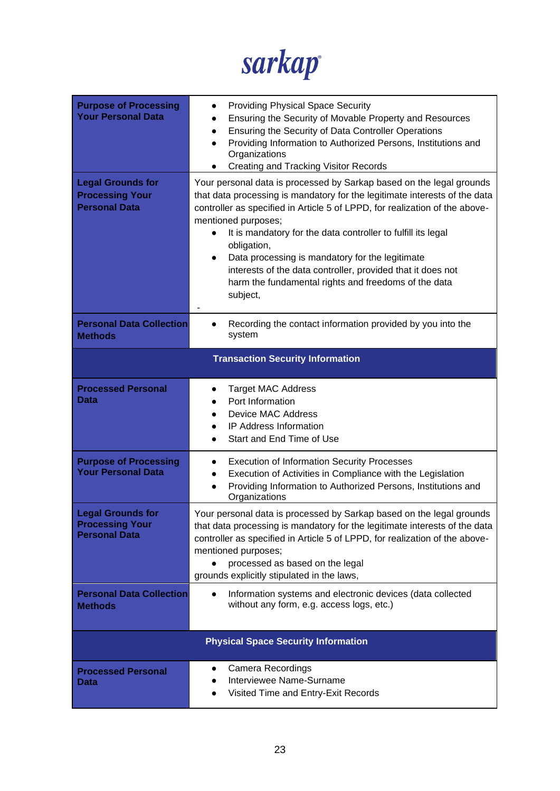sarkap

| <b>Purpose of Processing</b><br><b>Your Personal Data</b>                  | <b>Providing Physical Space Security</b><br>$\bullet$<br>Ensuring the Security of Movable Property and Resources<br>$\bullet$<br>Ensuring the Security of Data Controller Operations<br>$\bullet$<br>Providing Information to Authorized Persons, Institutions and<br>$\bullet$<br>Organizations<br><b>Creating and Tracking Visitor Records</b>                                                                                                                                                                                           |  |
|----------------------------------------------------------------------------|--------------------------------------------------------------------------------------------------------------------------------------------------------------------------------------------------------------------------------------------------------------------------------------------------------------------------------------------------------------------------------------------------------------------------------------------------------------------------------------------------------------------------------------------|--|
| <b>Legal Grounds for</b><br><b>Processing Your</b><br><b>Personal Data</b> | Your personal data is processed by Sarkap based on the legal grounds<br>that data processing is mandatory for the legitimate interests of the data<br>controller as specified in Article 5 of LPPD, for realization of the above-<br>mentioned purposes;<br>It is mandatory for the data controller to fulfill its legal<br>obligation,<br>Data processing is mandatory for the legitimate<br>$\bullet$<br>interests of the data controller, provided that it does not<br>harm the fundamental rights and freedoms of the data<br>subject, |  |
| <b>Personal Data Collection</b><br><b>Methods</b>                          | Recording the contact information provided by you into the<br>system                                                                                                                                                                                                                                                                                                                                                                                                                                                                       |  |
| <b>Transaction Security Information</b>                                    |                                                                                                                                                                                                                                                                                                                                                                                                                                                                                                                                            |  |
| <b>Processed Personal</b><br>Data                                          | <b>Target MAC Address</b><br>$\bullet$<br>Port Information<br><b>Device MAC Address</b><br>IP Address Information<br>Start and End Time of Use                                                                                                                                                                                                                                                                                                                                                                                             |  |
| <b>Purpose of Processing</b><br><b>Your Personal Data</b>                  | <b>Execution of Information Security Processes</b><br>Execution of Activities in Compliance with the Legislation<br>$\bullet$<br>Providing Information to Authorized Persons, Institutions and<br>$\bullet$<br>Organizations                                                                                                                                                                                                                                                                                                               |  |
| <b>Legal Grounds for</b><br><b>Processing Your</b><br><b>Personal Data</b> | Your personal data is processed by Sarkap based on the legal grounds<br>that data processing is mandatory for the legitimate interests of the data<br>controller as specified in Article 5 of LPPD, for realization of the above-<br>mentioned purposes;<br>processed as based on the legal<br>grounds explicitly stipulated in the laws,                                                                                                                                                                                                  |  |
| <b>Personal Data Collection</b><br><b>Methods</b>                          | Information systems and electronic devices (data collected<br>without any form, e.g. access logs, etc.)                                                                                                                                                                                                                                                                                                                                                                                                                                    |  |
|                                                                            | <b>Physical Space Security Information</b>                                                                                                                                                                                                                                                                                                                                                                                                                                                                                                 |  |
| <b>Processed Personal</b><br><b>Data</b>                                   | <b>Camera Recordings</b><br>Interviewee Name-Surname<br>Visited Time and Entry-Exit Records                                                                                                                                                                                                                                                                                                                                                                                                                                                |  |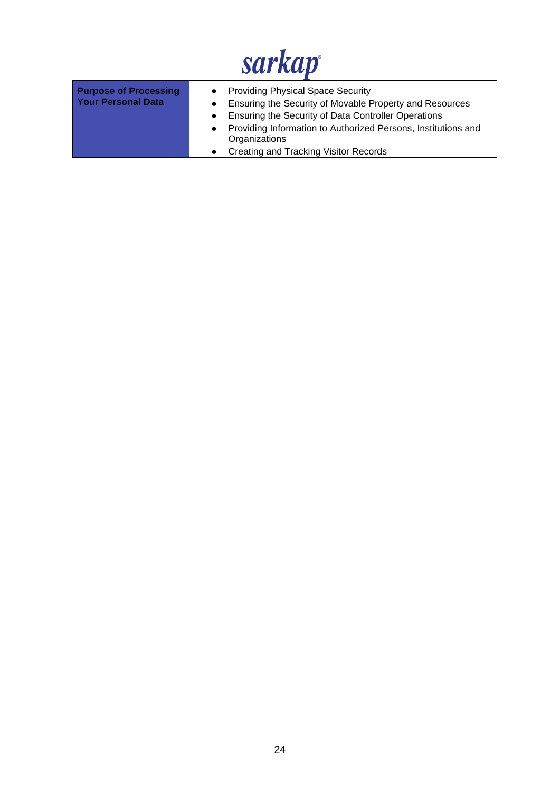| <b>Purpose of Processing</b><br><b>Your Personal Data</b> | • Providing Physical Space Security<br>Ensuring the Security of Movable Property and Resources<br>Ensuring the Security of Data Controller Operations<br>Providing Information to Authorized Persons, Institutions and<br>Organizations |
|-----------------------------------------------------------|-----------------------------------------------------------------------------------------------------------------------------------------------------------------------------------------------------------------------------------------|
|                                                           | Creating and Tracking Visitor Records                                                                                                                                                                                                   |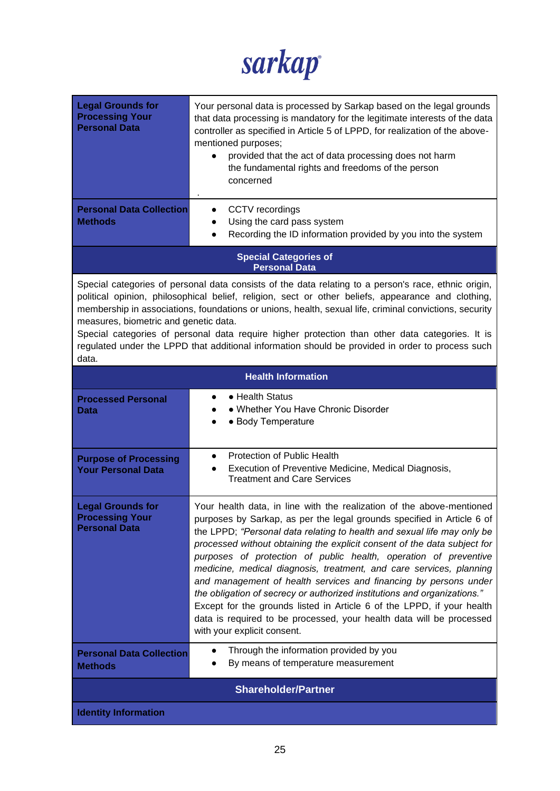sarkap

| <b>Legal Grounds for</b><br><b>Processing Your</b><br><b>Personal Data</b><br><b>Personal Data Collection</b>                                                                                                                                                                                                                                                                                                                                                                                                                                                                 | Your personal data is processed by Sarkap based on the legal grounds<br>that data processing is mandatory for the legitimate interests of the data<br>controller as specified in Article 5 of LPPD, for realization of the above-<br>mentioned purposes;<br>provided that the act of data processing does not harm<br>the fundamental rights and freedoms of the person<br>concerned                                                                                                                                                                                                                                                                                                                                                                                               |  |
|-------------------------------------------------------------------------------------------------------------------------------------------------------------------------------------------------------------------------------------------------------------------------------------------------------------------------------------------------------------------------------------------------------------------------------------------------------------------------------------------------------------------------------------------------------------------------------|------------------------------------------------------------------------------------------------------------------------------------------------------------------------------------------------------------------------------------------------------------------------------------------------------------------------------------------------------------------------------------------------------------------------------------------------------------------------------------------------------------------------------------------------------------------------------------------------------------------------------------------------------------------------------------------------------------------------------------------------------------------------------------|--|
| <b>Methods</b>                                                                                                                                                                                                                                                                                                                                                                                                                                                                                                                                                                | CCTV recordings<br>Using the card pass system<br>$\bullet$<br>Recording the ID information provided by you into the system<br>$\bullet$                                                                                                                                                                                                                                                                                                                                                                                                                                                                                                                                                                                                                                            |  |
|                                                                                                                                                                                                                                                                                                                                                                                                                                                                                                                                                                               | <b>Special Categories of</b><br><b>Personal Data</b>                                                                                                                                                                                                                                                                                                                                                                                                                                                                                                                                                                                                                                                                                                                               |  |
| Special categories of personal data consists of the data relating to a person's race, ethnic origin,<br>political opinion, philosophical belief, religion, sect or other beliefs, appearance and clothing,<br>membership in associations, foundations or unions, health, sexual life, criminal convictions, security<br>measures, biometric and genetic data.<br>Special categories of personal data require higher protection than other data categories. It is<br>regulated under the LPPD that additional information should be provided in order to process such<br>data. |                                                                                                                                                                                                                                                                                                                                                                                                                                                                                                                                                                                                                                                                                                                                                                                    |  |
|                                                                                                                                                                                                                                                                                                                                                                                                                                                                                                                                                                               | <b>Health Information</b>                                                                                                                                                                                                                                                                                                                                                                                                                                                                                                                                                                                                                                                                                                                                                          |  |
| <b>Processed Personal</b><br>Data                                                                                                                                                                                                                                                                                                                                                                                                                                                                                                                                             | • Health Status<br>• Whether You Have Chronic Disorder<br>• Body Temperature                                                                                                                                                                                                                                                                                                                                                                                                                                                                                                                                                                                                                                                                                                       |  |
| <b>Purpose of Processing</b><br><b>Your Personal Data</b>                                                                                                                                                                                                                                                                                                                                                                                                                                                                                                                     | Protection of Public Health<br>$\bullet$<br>Execution of Preventive Medicine, Medical Diagnosis,<br>$\bullet$<br><b>Treatment and Care Services</b>                                                                                                                                                                                                                                                                                                                                                                                                                                                                                                                                                                                                                                |  |
| <b>Legal Grounds for</b><br><b>Processing Your</b><br><b>Personal Data</b>                                                                                                                                                                                                                                                                                                                                                                                                                                                                                                    | Your health data, in line with the realization of the above-mentioned<br>purposes by Sarkap, as per the legal grounds specified in Article 6 of<br>the LPPD; "Personal data relating to health and sexual life may only be<br>processed without obtaining the explicit consent of the data subject for<br>purposes of protection of public health, operation of preventive<br>medicine, medical diagnosis, treatment, and care services, planning<br>and management of health services and financing by persons under<br>the obligation of secrecy or authorized institutions and organizations."<br>Except for the grounds listed in Article 6 of the LPPD, if your health<br>data is required to be processed, your health data will be processed<br>with your explicit consent. |  |
| <b>Personal Data Collection</b><br><b>Methods</b>                                                                                                                                                                                                                                                                                                                                                                                                                                                                                                                             | Through the information provided by you<br>By means of temperature measurement                                                                                                                                                                                                                                                                                                                                                                                                                                                                                                                                                                                                                                                                                                     |  |
| <b>Shareholder/Partner</b>                                                                                                                                                                                                                                                                                                                                                                                                                                                                                                                                                    |                                                                                                                                                                                                                                                                                                                                                                                                                                                                                                                                                                                                                                                                                                                                                                                    |  |
| <b>Identity Information</b>                                                                                                                                                                                                                                                                                                                                                                                                                                                                                                                                                   |                                                                                                                                                                                                                                                                                                                                                                                                                                                                                                                                                                                                                                                                                                                                                                                    |  |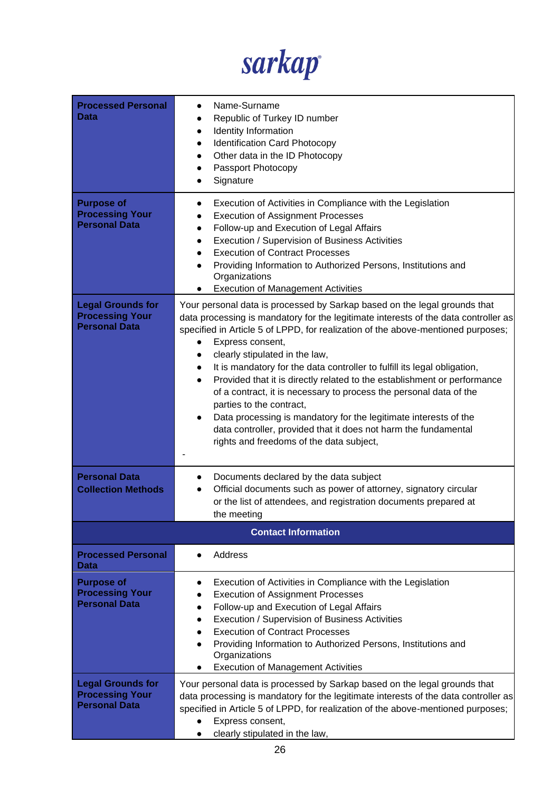

| <b>Processed Personal</b><br>Data                                          | Name-Surname<br>Republic of Turkey ID number<br>Identity Information<br>$\bullet$<br><b>Identification Card Photocopy</b><br>$\bullet$<br>Other data in the ID Photocopy<br>$\bullet$<br>Passport Photocopy<br>Signature                                                                                                                                                                                                                                                                                                                                                                                                                                                                                                                                                                       |
|----------------------------------------------------------------------------|------------------------------------------------------------------------------------------------------------------------------------------------------------------------------------------------------------------------------------------------------------------------------------------------------------------------------------------------------------------------------------------------------------------------------------------------------------------------------------------------------------------------------------------------------------------------------------------------------------------------------------------------------------------------------------------------------------------------------------------------------------------------------------------------|
| <b>Purpose of</b><br><b>Processing Your</b><br><b>Personal Data</b>        | Execution of Activities in Compliance with the Legislation<br>$\bullet$<br><b>Execution of Assignment Processes</b><br>Follow-up and Execution of Legal Affairs<br>$\bullet$<br>Execution / Supervision of Business Activities<br>$\bullet$<br><b>Execution of Contract Processes</b><br>Providing Information to Authorized Persons, Institutions and<br>Organizations<br><b>Execution of Management Activities</b><br>$\bullet$                                                                                                                                                                                                                                                                                                                                                              |
| <b>Legal Grounds for</b><br><b>Processing Your</b><br><b>Personal Data</b> | Your personal data is processed by Sarkap based on the legal grounds that<br>data processing is mandatory for the legitimate interests of the data controller as<br>specified in Article 5 of LPPD, for realization of the above-mentioned purposes;<br>Express consent,<br>clearly stipulated in the law,<br>$\bullet$<br>It is mandatory for the data controller to fulfill its legal obligation,<br>$\bullet$<br>Provided that it is directly related to the establishment or performance<br>$\bullet$<br>of a contract, it is necessary to process the personal data of the<br>parties to the contract,<br>Data processing is mandatory for the legitimate interests of the<br>data controller, provided that it does not harm the fundamental<br>rights and freedoms of the data subject, |
| <b>Personal Data</b><br><b>Collection Methods</b>                          | Documents declared by the data subject<br>Official documents such as power of attorney, signatory circular<br>or the list of attendees, and registration documents prepared at<br>the meeting                                                                                                                                                                                                                                                                                                                                                                                                                                                                                                                                                                                                  |
|                                                                            | <b>Contact Information</b>                                                                                                                                                                                                                                                                                                                                                                                                                                                                                                                                                                                                                                                                                                                                                                     |
| <b>Processed Personal</b><br>Data                                          | Address                                                                                                                                                                                                                                                                                                                                                                                                                                                                                                                                                                                                                                                                                                                                                                                        |
| <b>Purpose of</b><br><b>Processing Your</b><br><b>Personal Data</b>        | Execution of Activities in Compliance with the Legislation<br><b>Execution of Assignment Processes</b><br>Follow-up and Execution of Legal Affairs<br>Execution / Supervision of Business Activities<br><b>Execution of Contract Processes</b><br>Providing Information to Authorized Persons, Institutions and<br>Organizations<br><b>Execution of Management Activities</b><br>$\bullet$                                                                                                                                                                                                                                                                                                                                                                                                     |
| <b>Legal Grounds for</b><br><b>Processing Your</b><br><b>Personal Data</b> | Your personal data is processed by Sarkap based on the legal grounds that<br>data processing is mandatory for the legitimate interests of the data controller as<br>specified in Article 5 of LPPD, for realization of the above-mentioned purposes;<br>Express consent,<br>clearly stipulated in the law,                                                                                                                                                                                                                                                                                                                                                                                                                                                                                     |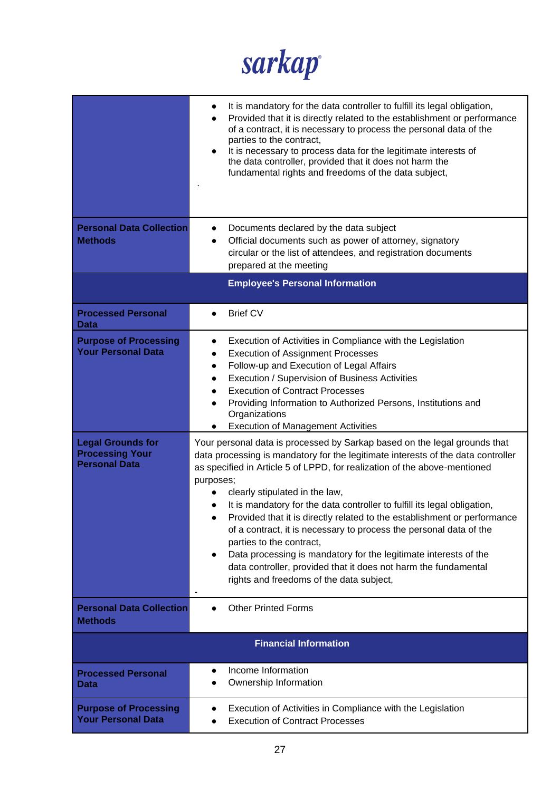

|                                                                            | It is mandatory for the data controller to fulfill its legal obligation,<br>$\bullet$<br>Provided that it is directly related to the establishment or performance<br>$\bullet$<br>of a contract, it is necessary to process the personal data of the<br>parties to the contract,<br>It is necessary to process data for the legitimate interests of<br>$\bullet$<br>the data controller, provided that it does not harm the<br>fundamental rights and freedoms of the data subject,                                                                                                                                                                                                                                                                                           |  |
|----------------------------------------------------------------------------|-------------------------------------------------------------------------------------------------------------------------------------------------------------------------------------------------------------------------------------------------------------------------------------------------------------------------------------------------------------------------------------------------------------------------------------------------------------------------------------------------------------------------------------------------------------------------------------------------------------------------------------------------------------------------------------------------------------------------------------------------------------------------------|--|
| <b>Personal Data Collection</b><br><b>Methods</b>                          | Documents declared by the data subject<br>$\bullet$<br>Official documents such as power of attorney, signatory<br>$\bullet$<br>circular or the list of attendees, and registration documents<br>prepared at the meeting                                                                                                                                                                                                                                                                                                                                                                                                                                                                                                                                                       |  |
| <b>Employee's Personal Information</b>                                     |                                                                                                                                                                                                                                                                                                                                                                                                                                                                                                                                                                                                                                                                                                                                                                               |  |
| <b>Processed Personal</b><br>Data                                          | <b>Brief CV</b><br>$\bullet$                                                                                                                                                                                                                                                                                                                                                                                                                                                                                                                                                                                                                                                                                                                                                  |  |
| <b>Purpose of Processing</b><br><b>Your Personal Data</b>                  | Execution of Activities in Compliance with the Legislation<br>$\bullet$<br><b>Execution of Assignment Processes</b><br>$\bullet$<br>Follow-up and Execution of Legal Affairs<br>$\bullet$<br>Execution / Supervision of Business Activities<br>$\bullet$<br><b>Execution of Contract Processes</b><br>$\bullet$<br>Providing Information to Authorized Persons, Institutions and<br>$\bullet$<br>Organizations<br><b>Execution of Management Activities</b><br>$\bullet$                                                                                                                                                                                                                                                                                                      |  |
| <b>Legal Grounds for</b><br><b>Processing Your</b><br><b>Personal Data</b> | Your personal data is processed by Sarkap based on the legal grounds that<br>data processing is mandatory for the legitimate interests of the data controller<br>as specified in Article 5 of LPPD, for realization of the above-mentioned<br>purposes;<br>clearly stipulated in the law,<br>$\bullet$<br>It is mandatory for the data controller to fulfill its legal obligation,<br>$\bullet$<br>Provided that it is directly related to the establishment or performance<br>of a contract, it is necessary to process the personal data of the<br>parties to the contract,<br>Data processing is mandatory for the legitimate interests of the<br>$\bullet$<br>data controller, provided that it does not harm the fundamental<br>rights and freedoms of the data subject, |  |
| <b>Personal Data Collection</b><br><b>Methods</b>                          | <b>Other Printed Forms</b>                                                                                                                                                                                                                                                                                                                                                                                                                                                                                                                                                                                                                                                                                                                                                    |  |
| <b>Financial Information</b>                                               |                                                                                                                                                                                                                                                                                                                                                                                                                                                                                                                                                                                                                                                                                                                                                                               |  |
| <b>Processed Personal</b><br>Data                                          | Income Information<br>Ownership Information                                                                                                                                                                                                                                                                                                                                                                                                                                                                                                                                                                                                                                                                                                                                   |  |
| <b>Purpose of Processing</b><br><b>Your Personal Data</b>                  | Execution of Activities in Compliance with the Legislation<br><b>Execution of Contract Processes</b>                                                                                                                                                                                                                                                                                                                                                                                                                                                                                                                                                                                                                                                                          |  |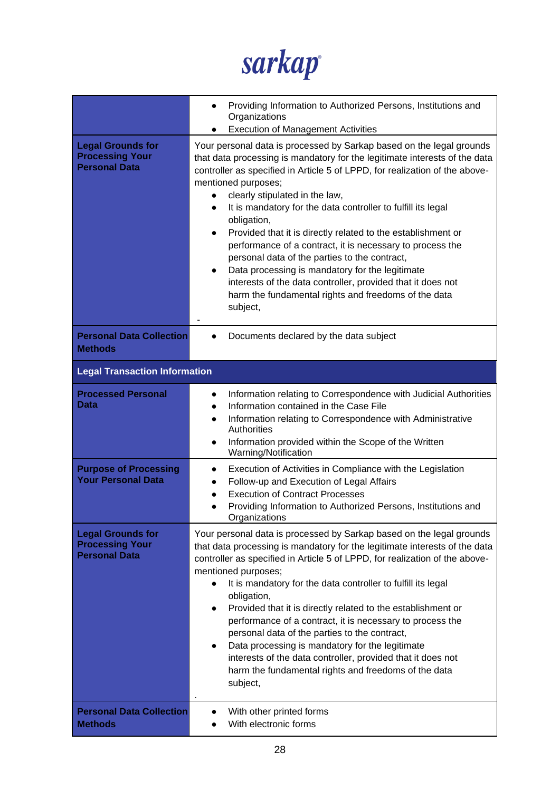

|                                                                            | Providing Information to Authorized Persons, Institutions and<br>$\bullet$<br>Organizations<br><b>Execution of Management Activities</b>                                                                                                                                                                                                                                                                                                                                                                                                                                                                                                                                                                                                                   |  |  |
|----------------------------------------------------------------------------|------------------------------------------------------------------------------------------------------------------------------------------------------------------------------------------------------------------------------------------------------------------------------------------------------------------------------------------------------------------------------------------------------------------------------------------------------------------------------------------------------------------------------------------------------------------------------------------------------------------------------------------------------------------------------------------------------------------------------------------------------------|--|--|
| <b>Legal Grounds for</b><br><b>Processing Your</b><br><b>Personal Data</b> | Your personal data is processed by Sarkap based on the legal grounds<br>that data processing is mandatory for the legitimate interests of the data<br>controller as specified in Article 5 of LPPD, for realization of the above-<br>mentioned purposes;<br>clearly stipulated in the law,<br>It is mandatory for the data controller to fulfill its legal<br>obligation,<br>Provided that it is directly related to the establishment or<br>$\bullet$<br>performance of a contract, it is necessary to process the<br>personal data of the parties to the contract,<br>Data processing is mandatory for the legitimate<br>interests of the data controller, provided that it does not<br>harm the fundamental rights and freedoms of the data<br>subject, |  |  |
| <b>Personal Data Collection</b><br><b>Methods</b>                          | Documents declared by the data subject                                                                                                                                                                                                                                                                                                                                                                                                                                                                                                                                                                                                                                                                                                                     |  |  |
| <b>Legal Transaction Information</b>                                       |                                                                                                                                                                                                                                                                                                                                                                                                                                                                                                                                                                                                                                                                                                                                                            |  |  |
| <b>Processed Personal</b><br>Data                                          | Information relating to Correspondence with Judicial Authorities<br>Information contained in the Case File<br>Information relating to Correspondence with Administrative<br>$\bullet$<br><b>Authorities</b><br>Information provided within the Scope of the Written<br>Warning/Notification                                                                                                                                                                                                                                                                                                                                                                                                                                                                |  |  |
| <b>Purpose of Processing</b><br><b>Your Personal Data</b>                  | Execution of Activities in Compliance with the Legislation<br>$\bullet$<br>Follow-up and Execution of Legal Affairs<br>$\bullet$<br><b>Execution of Contract Processes</b><br>Providing Information to Authorized Persons, Institutions and<br>Organizations                                                                                                                                                                                                                                                                                                                                                                                                                                                                                               |  |  |
| <b>Legal Grounds for</b><br><b>Processing Your</b><br><b>Personal Data</b> | Your personal data is processed by Sarkap based on the legal grounds<br>that data processing is mandatory for the legitimate interests of the data<br>controller as specified in Article 5 of LPPD, for realization of the above-<br>mentioned purposes;<br>It is mandatory for the data controller to fulfill its legal<br>obligation,<br>Provided that it is directly related to the establishment or<br>$\bullet$<br>performance of a contract, it is necessary to process the<br>personal data of the parties to the contract,<br>Data processing is mandatory for the legitimate<br>$\bullet$<br>interests of the data controller, provided that it does not<br>harm the fundamental rights and freedoms of the data<br>subject,                      |  |  |
| <b>Personal Data Collection</b><br><b>Methods</b>                          | With other printed forms<br>With electronic forms                                                                                                                                                                                                                                                                                                                                                                                                                                                                                                                                                                                                                                                                                                          |  |  |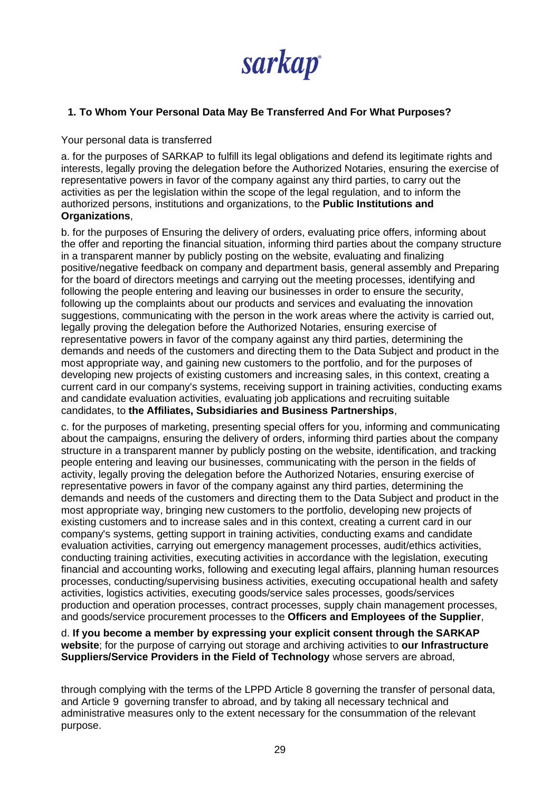

### **1. To Whom Your Personal Data May Be Transferred And For What Purposes?**

Your personal data is transferred

a. for the purposes of SARKAP to fulfill its legal obligations and defend its legitimate rights and interests, legally proving the delegation before the Authorized Notaries, ensuring the exercise of representative powers in favor of the company against any third parties, to carry out the activities as per the legislation within the scope of the legal regulation, and to inform the authorized persons, institutions and organizations, to the **Public Institutions and Organizations**,

b. for the purposes of Ensuring the delivery of orders, evaluating price offers, informing about the offer and reporting the financial situation, informing third parties about the company structure in a transparent manner by publicly posting on the website, evaluating and finalizing positive/negative feedback on company and department basis, general assembly and Preparing for the board of directors meetings and carrying out the meeting processes, identifying and following the people entering and leaving our businesses in order to ensure the security, following up the complaints about our products and services and evaluating the innovation suggestions, communicating with the person in the work areas where the activity is carried out, legally proving the delegation before the Authorized Notaries, ensuring exercise of representative powers in favor of the company against any third parties, determining the demands and needs of the customers and directing them to the Data Subject and product in the most appropriate way, and gaining new customers to the portfolio, and for the purposes of developing new projects of existing customers and increasing sales, in this context, creating a current card in our company's systems, receiving support in training activities, conducting exams and candidate evaluation activities, evaluating job applications and recruiting suitable candidates, to **the Affiliates, Subsidiaries and Business Partnerships**,

c. for the purposes of marketing, presenting special offers for you, informing and communicating about the campaigns, ensuring the delivery of orders, informing third parties about the company structure in a transparent manner by publicly posting on the website, identification, and tracking people entering and leaving our businesses, communicating with the person in the fields of activity, legally proving the delegation before the Authorized Notaries, ensuring exercise of representative powers in favor of the company against any third parties, determining the demands and needs of the customers and directing them to the Data Subject and product in the most appropriate way, bringing new customers to the portfolio, developing new projects of existing customers and to increase sales and in this context, creating a current card in our company's systems, getting support in training activities, conducting exams and candidate evaluation activities, carrying out emergency management processes, audit/ethics activities, conducting training activities, executing activities in accordance with the legislation, executing financial and accounting works, following and executing legal affairs, planning human resources processes, conducting/supervising business activities, executing occupational health and safety activities, logistics activities, executing goods/service sales processes, goods/services production and operation processes, contract processes, supply chain management processes, and goods/service procurement processes to the **Officers and Employees of the Supplier**,

d. **If you become a member by expressing your explicit consent through the SARKAP website**; for the purpose of carrying out storage and archiving activities to **our Infrastructure Suppliers/Service Providers in the Field of Technology** whose servers are abroad,

through complying with the terms of the LPPD Article 8 governing the transfer of personal data, and Article 9 governing transfer to abroad, and by taking all necessary technical and administrative measures only to the extent necessary for the consummation of the relevant purpose.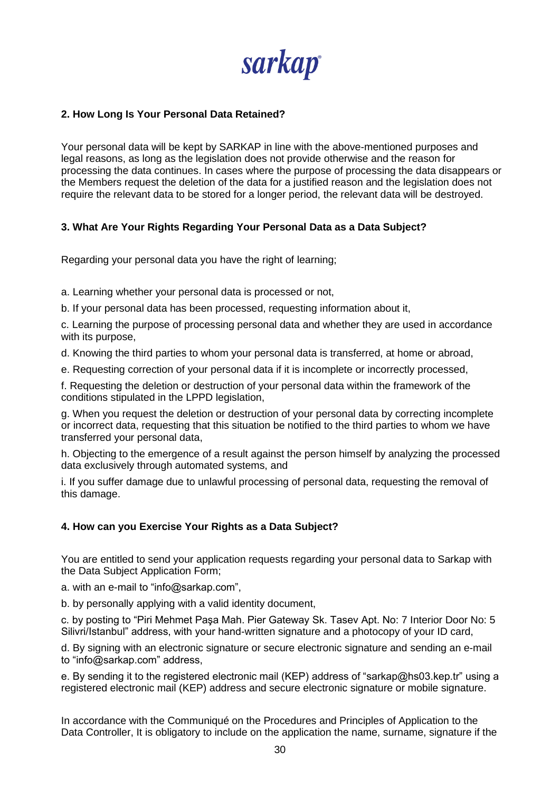sarkap

### **2. How Long Is Your Personal Data Retained?**

Your person*a*l data will be kept by SARKAP in line with the above-mentioned purposes and legal reasons, as long as the legislation does not provide otherwise and the reason for processing the data continues. In cases where the purpose of processing the data disappears or the Members request the deletion of the data for a justified reason and the legislation does not require the relevant data to be stored for a longer period, the relevant data will be destroyed.

### **3. What Are Your Rights Regarding Your Personal Data as a Data Subject?**

Regarding your personal data you have the right of learning;

a. Learning whether your personal data is processed or not,

b. If your personal data has been processed, requesting information about it,

c. Learning the purpose of processing personal data and whether they are used in accordance with its purpose,

d. Knowing the third parties to whom your personal data is transferred, at home or abroad,

e. Requesting correction of your personal data if it is incomplete or incorrectly processed,

f. Requesting the deletion or destruction of your personal data within the framework of the conditions stipulated in the LPPD legislation,

g. When you request the deletion or destruction of your personal data by correcting incomplete or incorrect data, requesting that this situation be notified to the third parties to whom we have transferred your personal data,

h. Objecting to the emergence of a result against the person himself by analyzing the processed data exclusively through automated systems, and

i. If you suffer damage due to unlawful processing of personal data, requesting the removal of this damage.

### **4. How can you Exercise Your Rights as a Data Subject?**

You are entitled to send your application requests regarding your personal data to Sarkap with the Data Subject Application Form;

a. with an e-mail to "info@sarkap.com",

b. by personally applying with a valid identity document,

c. by posting to "Piri Mehmet Paşa Mah. Pier Gateway Sk. Tasev Apt. No: 7 Interior Door No: 5 Silivri/Istanbul" address, with your hand-written signature and a photocopy of your ID card,

d. By signing with an electronic signature or secure electronic signature and sending an e-mail to "info@sarkap.com" address,

e. By sending it to the registered electronic mail (KEP) address of "sarkap@hs03.kep.tr" using a registered electronic mail (KEP) address and secure electronic signature or mobile signature.

In accordance with the Communiqué on the Procedures and Principles of Application to the Data Controller, It is obligatory to include on the application the name, surname, signature if the